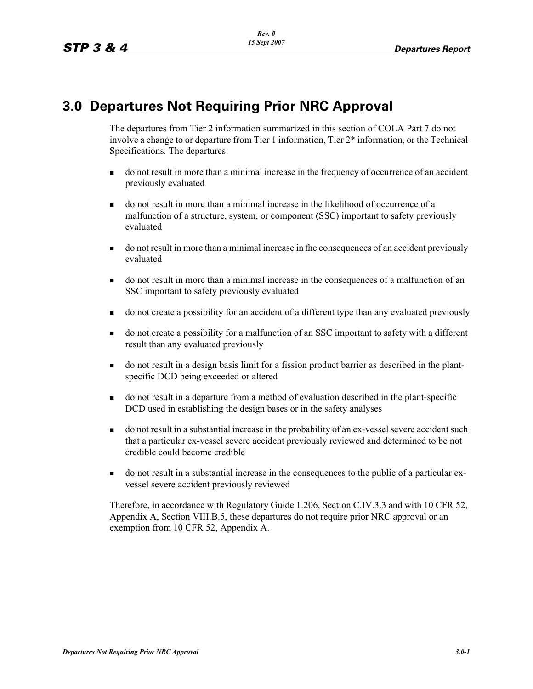# **3.0 Departures Not Requiring Prior NRC Approval**

The departures from Tier 2 information summarized in this section of COLA Part 7 do not involve a change to or departure from Tier 1 information, Tier 2\* information, or the Technical Specifications. The departures:

- do not result in more than a minimal increase in the frequency of occurrence of an accident previously evaluated
- do not result in more than a minimal increase in the likelihood of occurrence of a malfunction of a structure, system, or component (SSC) important to safety previously evaluated
- do not result in more than a minimal increase in the consequences of an accident previously evaluated
- do not result in more than a minimal increase in the consequences of a malfunction of an SSC important to safety previously evaluated
- do not create a possibility for an accident of a different type than any evaluated previously
- do not create a possibility for a malfunction of an SSC important to safety with a different result than any evaluated previously
- do not result in a design basis limit for a fission product barrier as described in the plantspecific DCD being exceeded or altered
- do not result in a departure from a method of evaluation described in the plant-specific DCD used in establishing the design bases or in the safety analyses
- do not result in a substantial increase in the probability of an ex-vessel severe accident such that a particular ex-vessel severe accident previously reviewed and determined to be not credible could become credible
- do not result in a substantial increase in the consequences to the public of a particular exvessel severe accident previously reviewed

Therefore, in accordance with Regulatory Guide 1.206, Section C.IV.3.3 and with 10 CFR 52, Appendix A, Section VIII.B.5, these departures do not require prior NRC approval or an exemption from 10 CFR 52, Appendix A.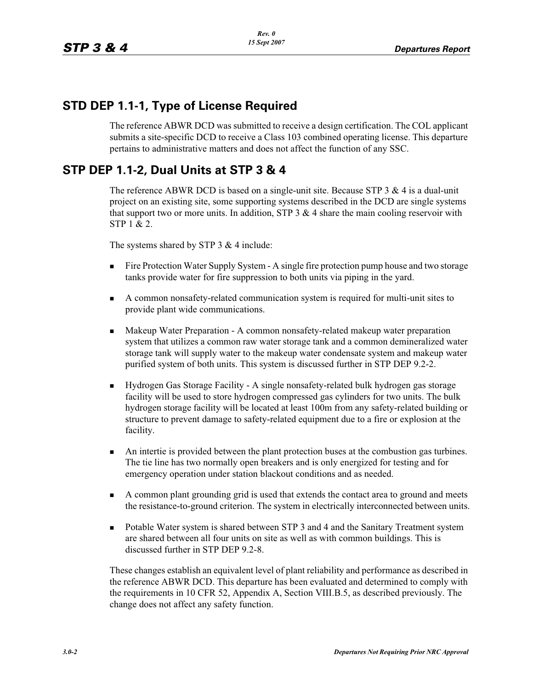### **STD DEP 1.1-1, Type of License Required**

The reference ABWR DCD was submitted to receive a design certification. The COL applicant submits a site-specific DCD to receive a Class 103 combined operating license. This departure pertains to administrative matters and does not affect the function of any SSC.

# **STP DEP 1.1-2, Dual Units at STP 3 & 4**

The reference ABWR DCD is based on a single-unit site. Because STP 3  $\&$  4 is a dual-unit project on an existing site, some supporting systems described in the DCD are single systems that support two or more units. In addition, STP  $3 \& 4$  share the main cooling reservoir with STP 1 & 2.

The systems shared by STP 3 & 4 include:

- - Fire Protection Water Supply System - A single fire protection pump house and two storage tanks provide water for fire suppression to both units via piping in the yard.
- - A common nonsafety-related communication system is required for multi-unit sites to provide plant wide communications.
- - Makeup Water Preparation - A common nonsafety-related makeup water preparation system that utilizes a common raw water storage tank and a common demineralized water storage tank will supply water to the makeup water condensate system and makeup water purified system of both units. This system is discussed further in STP DEP 9.2-2.
- - Hydrogen Gas Storage Facility - A single nonsafety-related bulk hydrogen gas storage facility will be used to store hydrogen compressed gas cylinders for two units. The bulk hydrogen storage facility will be located at least 100m from any safety-related building or structure to prevent damage to safety-related equipment due to a fire or explosion at the facility.
- - An intertie is provided between the plant protection buses at the combustion gas turbines. The tie line has two normally open breakers and is only energized for testing and for emergency operation under station blackout conditions and as needed.
- - A common plant grounding grid is used that extends the contact area to ground and meets the resistance-to-ground criterion. The system in electrically interconnected between units.
- - Potable Water system is shared between STP 3 and 4 and the Sanitary Treatment system are shared between all four units on site as well as with common buildings. This is discussed further in STP DEP 9.2-8.

These changes establish an equivalent level of plant reliability and performance as described in the reference ABWR DCD. This departure has been evaluated and determined to comply with the requirements in 10 CFR 52, Appendix A, Section VIII.B.5, as described previously. The change does not affect any safety function.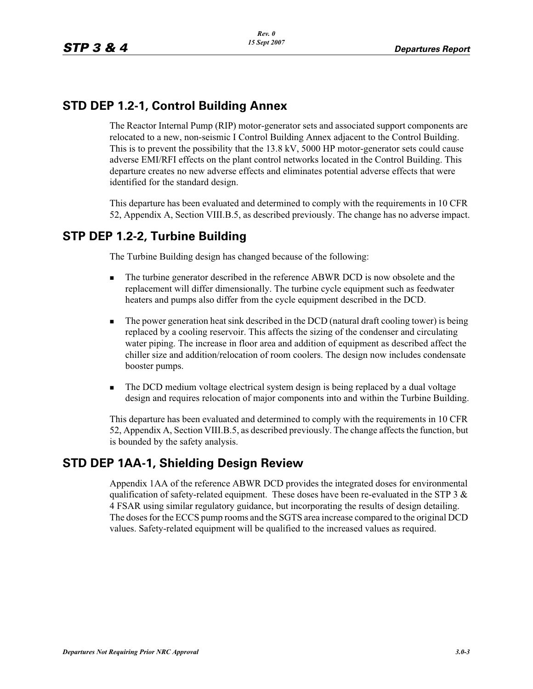# **STD DEP 1.2-1, Control Building Annex**

The Reactor Internal Pump (RIP) motor-generator sets and associated support components are relocated to a new, non-seismic I Control Building Annex adjacent to the Control Building. This is to prevent the possibility that the 13.8 kV, 5000 HP motor-generator sets could cause adverse EMI/RFI effects on the plant control networks located in the Control Building. This departure creates no new adverse effects and eliminates potential adverse effects that were identified for the standard design.

This departure has been evaluated and determined to comply with the requirements in 10 CFR 52, Appendix A, Section VIII.B.5, as described previously. The change has no adverse impact.

# **STP DEP 1.2-2, Turbine Building**

The Turbine Building design has changed because of the following:

- - The turbine generator described in the reference ABWR DCD is now obsolete and the replacement will differ dimensionally. The turbine cycle equipment such as feedwater heaters and pumps also differ from the cycle equipment described in the DCD.
- - The power generation heat sink described in the DCD (natural draft cooling tower) is being replaced by a cooling reservoir. This affects the sizing of the condenser and circulating water piping. The increase in floor area and addition of equipment as described affect the chiller size and addition/relocation of room coolers. The design now includes condensate booster pumps.
- - The DCD medium voltage electrical system design is being replaced by a dual voltage design and requires relocation of major components into and within the Turbine Building.

This departure has been evaluated and determined to comply with the requirements in 10 CFR 52, Appendix A, Section VIII.B.5, as described previously. The change affects the function, but is bounded by the safety analysis.

# **STD DEP 1AA-1, Shielding Design Review**

Appendix 1AA of the reference ABWR DCD provides the integrated doses for environmental qualification of safety-related equipment. These doses have been re-evaluated in the STP 3  $\&$ 4 FSAR using similar regulatory guidance, but incorporating the results of design detailing. The doses for the ECCS pump rooms and the SGTS area increase compared to the original DCD values. Safety-related equipment will be qualified to the increased values as required.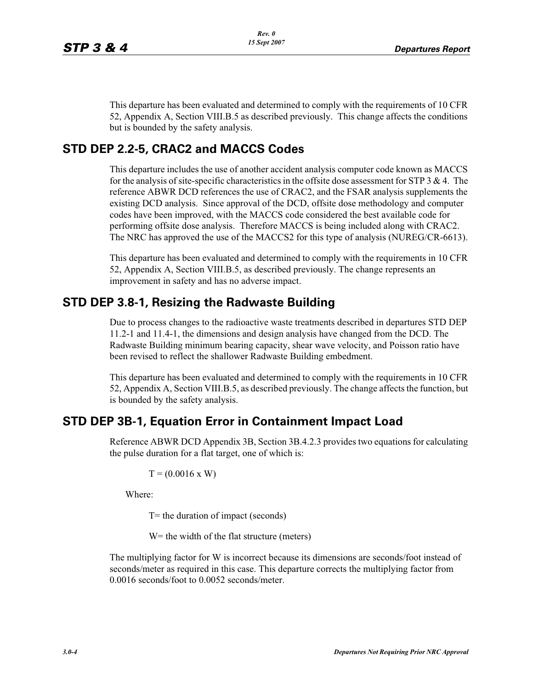This departure has been evaluated and determined to comply with the requirements of 10 CFR 52, Appendix A, Section VIII.B.5 as described previously. This change affects the conditions but is bounded by the safety analysis.

#### **STD DEP 2.2-5, CRAC2 and MACCS Codes**

This departure includes the use of another accident analysis computer code known as MACCS for the analysis of site-specific characteristics in the offsite dose assessment for STP 3  $\&$  4. The reference ABWR DCD references the use of CRAC2, and the FSAR analysis supplements the existing DCD analysis. Since approval of the DCD, offsite dose methodology and computer codes have been improved, with the MACCS code considered the best available code for performing offsite dose analysis. Therefore MACCS is being included along with CRAC2. The NRC has approved the use of the MACCS2 for this type of analysis (NUREG/CR-6613).

This departure has been evaluated and determined to comply with the requirements in 10 CFR 52, Appendix A, Section VIII.B.5, as described previously. The change represents an improvement in safety and has no adverse impact.

#### **STD DEP 3.8-1, Resizing the Radwaste Building**

Due to process changes to the radioactive waste treatments described in departures STD DEP 11.2-1 and 11.4-1, the dimensions and design analysis have changed from the DCD. The Radwaste Building minimum bearing capacity, shear wave velocity, and Poisson ratio have been revised to reflect the shallower Radwaste Building embedment.

This departure has been evaluated and determined to comply with the requirements in 10 CFR 52, Appendix A, Section VIII.B.5, as described previously. The change affects the function, but is bounded by the safety analysis.

#### **STD DEP 3B-1, Equation Error in Containment Impact Load**

Reference ABWR DCD Appendix 3B, Section 3B.4.2.3 provides two equations for calculating the pulse duration for a flat target, one of which is:

$$
T = (0.0016 \text{ x W})
$$

Where:

T= the duration of impact (seconds)

W = the width of the flat structure (meters)

The multiplying factor for W is incorrect because its dimensions are seconds/foot instead of seconds/meter as required in this case. This departure corrects the multiplying factor from 0.0016 seconds/foot to 0.0052 seconds/meter.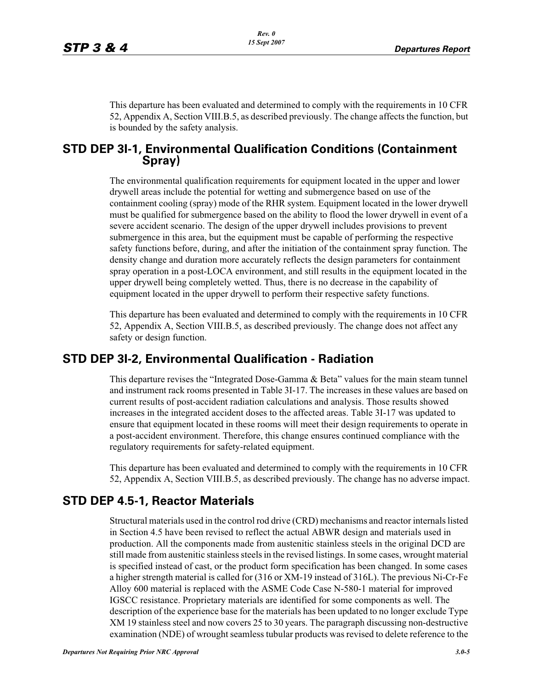This departure has been evaluated and determined to comply with the requirements in 10 CFR 52, Appendix A, Section VIII.B.5, as described previously. The change affects the function, but is bounded by the safety analysis.

#### **STD DEP 3I-1, Environmental Qualification Conditions (Containment Spray)**

The environmental qualification requirements for equipment located in the upper and lower drywell areas include the potential for wetting and submergence based on use of the containment cooling (spray) mode of the RHR system. Equipment located in the lower drywell must be qualified for submergence based on the ability to flood the lower drywell in event of a severe accident scenario. The design of the upper drywell includes provisions to prevent submergence in this area, but the equipment must be capable of performing the respective safety functions before, during, and after the initiation of the containment spray function. The density change and duration more accurately reflects the design parameters for containment spray operation in a post-LOCA environment, and still results in the equipment located in the upper drywell being completely wetted. Thus, there is no decrease in the capability of equipment located in the upper drywell to perform their respective safety functions.

This departure has been evaluated and determined to comply with the requirements in 10 CFR 52, Appendix A, Section VIII.B.5, as described previously. The change does not affect any safety or design function.

#### **STD DEP 3I-2, Environmental Qualification - Radiation**

This departure revises the "Integrated Dose-Gamma  $\&$  Beta" values for the main steam tunnel and instrument rack rooms presented in Table 3I-17. The increases in these values are based on current results of post-accident radiation calculations and analysis. Those results showed increases in the integrated accident doses to the affected areas. Table 3I-17 was updated to ensure that equipment located in these rooms will meet their design requirements to operate in a post-accident environment. Therefore, this change ensures continued compliance with the regulatory requirements for safety-related equipment.

This departure has been evaluated and determined to comply with the requirements in 10 CFR 52, Appendix A, Section VIII.B.5, as described previously. The change has no adverse impact.

# **STD DEP 4.5-1, Reactor Materials**

Structural materials used in the control rod drive (CRD) mechanisms and reactor internals listed in Section 4.5 have been revised to reflect the actual ABWR design and materials used in production. All the components made from austenitic stainless steels in the original DCD are still made from austenitic stainless steels in the revised listings. In some cases, wrought material is specified instead of cast, or the product form specification has been changed. In some cases a higher strength material is called for (316 or XM-19 instead of 316L). The previous Ni-Cr-Fe Alloy 600 material is replaced with the ASME Code Case N-580-1 material for improved IGSCC resistance. Proprietary materials are identified for some components as well. The description of the experience base for the materials has been updated to no longer exclude Type XM 19 stainless steel and now covers 25 to 30 years. The paragraph discussing non-destructive examination (NDE) of wrought seamless tubular products was revised to delete reference to the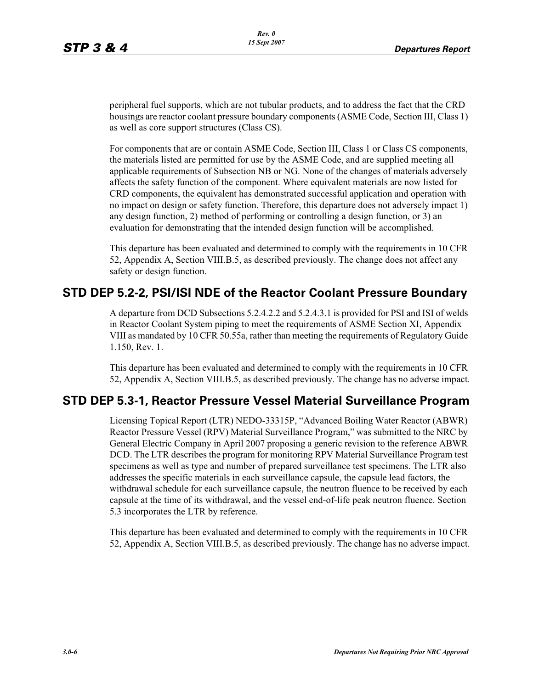peripheral fuel supports, which are not tubular products, and to address the fact that the CRD housings are reactor coolant pressure boundary components (ASME Code, Section III, Class 1) as well as core support structures (Class CS).

For components that are or contain ASME Code, Section III, Class 1 or Class CS components, the materials listed are permitted for use by the ASME Code, and are supplied meeting all applicable requirements of Subsection NB or NG. None of the changes of materials adversely affects the safety function of the component. Where equivalent materials are now listed for CRD components, the equivalent has demonstrated successful application and operation with no impact on design or safety function. Therefore, this departure does not adversely impact 1) any design function, 2) method of performing or controlling a design function, or 3) an evaluation for demonstrating that the intended design function will be accomplished.

This departure has been evaluated and determined to comply with the requirements in 10 CFR 52, Appendix A, Section VIII.B.5, as described previously. The change does not affect any safety or design function.

#### **STD DEP 5.2-2, PSI/ISI NDE of the Reactor Coolant Pressure Boundary**

A departure from DCD Subsections 5.2.4.2.2 and 5.2.4.3.1 is provided for PSI and ISI of welds in Reactor Coolant System piping to meet the requirements of ASME Section XI, Appendix VIII as mandated by 10 CFR 50.55a, rather than meeting the requirements of Regulatory Guide 1.150, Rev. 1.

This departure has been evaluated and determined to comply with the requirements in 10 CFR 52, Appendix A, Section VIII.B.5, as described previously. The change has no adverse impact.

#### **STD DEP 5.3-1, Reactor Pressure Vessel Material Surveillance Program**

Licensing Topical Report (LTR) NEDO-33315P, "Advanced Boiling Water Reactor (ABWR) Reactor Pressure Vessel (RPV) Material Surveillance Program," was submitted to the NRC by General Electric Company in April 2007 proposing a generic revision to the reference ABWR DCD. The LTR describes the program for monitoring RPV Material Surveillance Program test specimens as well as type and number of prepared surveillance test specimens. The LTR also addresses the specific materials in each surveillance capsule, the capsule lead factors, the withdrawal schedule for each surveillance capsule, the neutron fluence to be received by each capsule at the time of its withdrawal, and the vessel end-of-life peak neutron fluence. Section 5.3 incorporates the LTR by reference.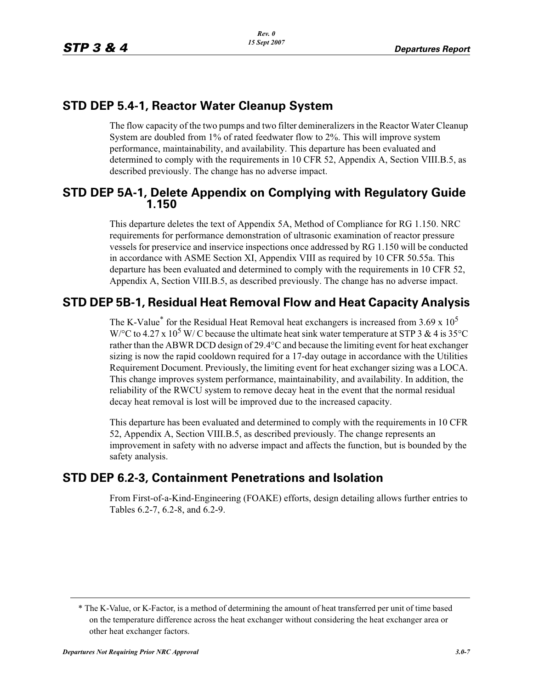### **STD DEP 5.4-1, Reactor Water Cleanup System**

The flow capacity of the two pumps and two filter demineralizers in the Reactor Water Cleanup System are doubled from 1% of rated feedwater flow to 2%. This will improve system performance, maintainability, and availability. This departure has been evaluated and determined to comply with the requirements in 10 CFR 52, Appendix A, Section VIII.B.5, as described previously. The change has no adverse impact.

#### **STD DEP 5A-1, Delete Appendix on Complying with Regulatory Guide 1.150**

This departure deletes the text of Appendix 5A, Method of Compliance for RG 1.150. NRC requirements for performance demonstration of ultrasonic examination of reactor pressure vessels for preservice and inservice inspections once addressed by RG 1.150 will be conducted in accordance with ASME Section XI, Appendix VIII as required by 10 CFR 50.55a. This departure has been evaluated and determined to comply with the requirements in 10 CFR 52, Appendix A, Section VIII.B.5, as described previously. The change has no adverse impact.

# **STD DEP 5B-1, Residual Heat Removal Flow and Heat Capacity Analysis**

The K-Value<sup>\*</sup> for the Residual Heat Removal heat exchangers is increased from 3.69 x  $10^5$ W/°C to 4.27 x 10<sup>5</sup> W/C because the ultimate heat sink water temperature at STP 3 & 4 is 35°C rather than the ABWR DCD design of 29.4°C and because the limiting event for heat exchanger sizing is now the rapid cooldown required for a 17-day outage in accordance with the Utilities Requirement Document. Previously, the limiting event for heat exchanger sizing was a LOCA. This change improves system performance, maintainability, and availability. In addition, the reliability of the RWCU system to remove decay heat in the event that the normal residual decay heat removal is lost will be improved due to the increased capacity.

This departure has been evaluated and determined to comply with the requirements in 10 CFR 52, Appendix A, Section VIII.B.5, as described previously. The change represents an improvement in safety with no adverse impact and affects the function, but is bounded by the safety analysis.

# **STD DEP 6.2-3, Containment Penetrations and Isolation**

From First-of-a-Kind-Engineering (FOAKE) efforts, design detailing allows further entries to Tables 6.2-7, 6.2-8, and 6.2-9.

<sup>\*</sup> The K-Value, or K-Factor, is a method of determining the amount of heat transferred per unit of time based on the temperature difference across the heat exchanger without considering the heat exchanger area or other heat exchanger factors.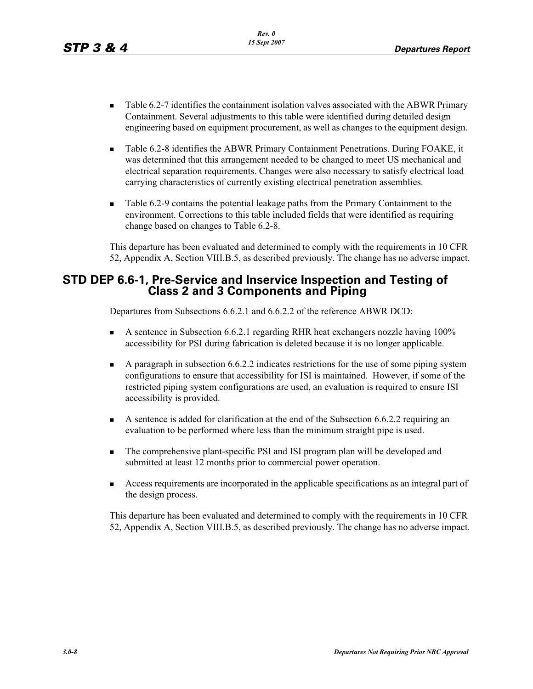- - Table 6.2-7 identifies the containment isolation valves associated with the ABWR Primary Containment. Several adjustments to this table were identified during detailed design engineering based on equipment procurement, as well as changes to the equipment design.
- - Table 6.2-8 identifies the ABWR Primary Containment Penetrations. During FOAKE, it was determined that this arrangement needed to be changed to meet US mechanical and electrical separation requirements. Changes were also necessary to satisfy electrical load carrying characteristics of currently existing electrical penetration assemblies.
- - Table 6.2-9 contains the potential leakage paths from the Primary Containment to the environment. Corrections to this table included fields that were identified as requiring change based on changes to Table 6.2-8.

This departure has been evaluated and determined to comply with the requirements in 10 CFR 52, Appendix A, Section VIII.B.5, as described previously. The change has no adverse impact.

#### **STD DEP 6.6-1, Pre-Service and Inservice Inspection and Testing of Class 2 and 3 Components and Piping**

Departures from Subsections 6.6.2.1 and 6.6.2.2 of the reference ABWR DCD:

- - A sentence in Subsection 6.6.2.1 regarding RHR heat exchangers nozzle having 100% accessibility for PSI during fabrication is deleted because it is no longer applicable.
- - A paragraph in subsection 6.6.2.2 indicates restrictions for the use of some piping system configurations to ensure that accessibility for ISI is maintained. However, if some of the restricted piping system configurations are used, an evaluation is required to ensure ISI accessibility is provided.
- A sentence is added for clarification at the end of the Subsection 6.6.2.2 requiring an evaluation to be performed where less than the minimum straight pipe is used.
- - The comprehensive plant-specific PSI and ISI program plan will be developed and submitted at least 12 months prior to commercial power operation.
- - Access requirements are incorporated in the applicable specifications as an integral part of the design process.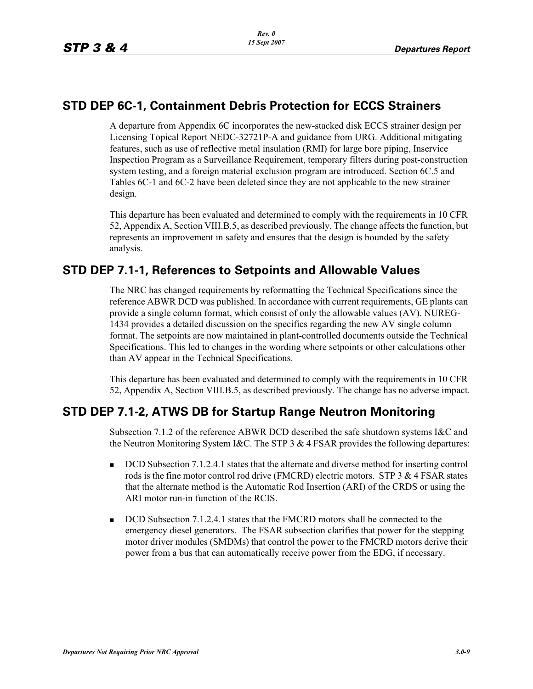#### **STD DEP 6C-1, Containment Debris Protection for ECCS Strainers**

A departure from Appendix 6C incorporates the new-stacked disk ECCS strainer design per Licensing Topical Report NEDC-32721P-A and guidance from URG. Additional mitigating features, such as use of reflective metal insulation (RMI) for large bore piping, Inservice Inspection Program as a Surveillance Requirement, temporary filters during post-construction system testing, and a foreign material exclusion program are introduced. Section 6C.5 and Tables 6C-1 and 6C-2 have been deleted since they are not applicable to the new strainer design.

This departure has been evaluated and determined to comply with the requirements in 10 CFR 52, Appendix A, Section VIII.B.5, as described previously. The change affects the function, but represents an improvement in safety and ensures that the design is bounded by the safety analysis.

# **STD DEP 7.1-1, References to Setpoints and Allowable Values**

The NRC has changed requirements by reformatting the Technical Specifications since the reference ABWR DCD was published. In accordance with current requirements, GE plants can provide a single column format, which consist of only the allowable values (AV). NUREG-1434 provides a detailed discussion on the specifics regarding the new AV single column format. The setpoints are now maintained in plant-controlled documents outside the Technical Specifications. This led to changes in the wording where setpoints or other calculations other than AV appear in the Technical Specifications.

This departure has been evaluated and determined to comply with the requirements in 10 CFR 52, Appendix A, Section VIII.B.5, as described previously. The change has no adverse impact.

# **STD DEP 7.1-2, ATWS DB for Startup Range Neutron Monitoring**

Subsection 7.1.2 of the reference ABWR DCD described the safe shutdown systems I&C and the Neutron Monitoring System I&C. The STP 3 & 4 FSAR provides the following departures:

- - DCD Subsection 7.1.2.4.1 states that the alternate and diverse method for inserting control rods is the fine motor control rod drive (FMCRD) electric motors. STP 3 & 4 FSAR states that the alternate method is the Automatic Rod Insertion (ARI) of the CRDS or using the ARI motor run-in function of the RCIS.
- -DCD Subsection 7.1.2.4.1 states that the FMCRD motors shall be connected to the emergency diesel generators. The FSAR subsection clarifies that power for the stepping motor driver modules (SMDMs) that control the power to the FMCRD motors derive their power from a bus that can automatically receive power from the EDG, if necessary.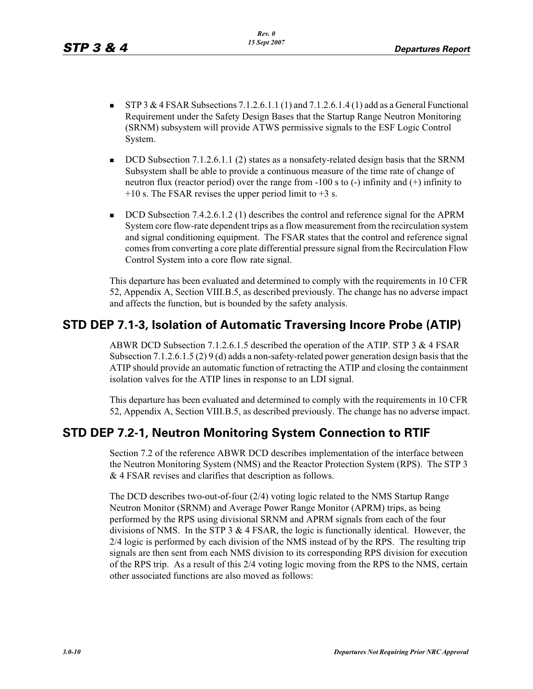- - STP 3 & 4 FSAR Subsections 7.1.2.6.1.1 (1) and 7.1.2.6.1.4 (1) add as a General Functional Requirement under the Safety Design Bases that the Startup Range Neutron Monitoring (SRNM) subsystem will provide ATWS permissive signals to the ESF Logic Control System.
- - DCD Subsection 7.1.2.6.1.1 (2) states as a nonsafety-related design basis that the SRNM Subsystem shall be able to provide a continuous measure of the time rate of change of neutron flux (reactor period) over the range from  $-100$  s to  $(-)$  infinity and  $(+)$  infinity to  $+10$  s. The FSAR revises the upper period limit to  $+3$  s.
- - DCD Subsection 7.4.2.6.1.2 (1) describes the control and reference signal for the APRM System core flow-rate dependent trips as a flow measurement from the recirculation system and signal conditioning equipment. The FSAR states that the control and reference signal comes from converting a core plate differential pressure signal from the Recirculation Flow Control System into a core flow rate signal.

This departure has been evaluated and determined to comply with the requirements in 10 CFR 52, Appendix A, Section VIII.B.5, as described previously. The change has no adverse impact and affects the function, but is bounded by the safety analysis.

# **STD DEP 7.1-3, Isolation of Automatic Traversing Incore Probe (ATIP)**

ABWR DCD Subsection 7.1.2.6.1.5 described the operation of the ATIP. STP 3 & 4 FSAR Subsection 7.1.2.6.1.5 (2) 9 (d) adds a non-safety-related power generation design basis that the ATIP should provide an automatic function of retracting the ATIP and closing the containment isolation valves for the ATIP lines in response to an LDI signal.

This departure has been evaluated and determined to comply with the requirements in 10 CFR 52, Appendix A, Section VIII.B.5, as described previously. The change has no adverse impact.

#### **STD DEP 7.2-1, Neutron Monitoring System Connection to RTIF**

Section 7.2 of the reference ABWR DCD describes implementation of the interface between the Neutron Monitoring System (NMS) and the Reactor Protection System (RPS). The STP 3 & 4 FSAR revises and clarifies that description as follows.

The DCD describes two-out-of-four (2/4) voting logic related to the NMS Startup Range Neutron Monitor (SRNM) and Average Power Range Monitor (APRM) trips, as being performed by the RPS using divisional SRNM and APRM signals from each of the four divisions of NMS. In the STP 3 & 4 FSAR, the logic is functionally identical. However, the 2/4 logic is performed by each division of the NMS instead of by the RPS. The resulting trip signals are then sent from each NMS division to its corresponding RPS division for execution of the RPS trip. As a result of this 2/4 voting logic moving from the RPS to the NMS, certain other associated functions are also moved as follows: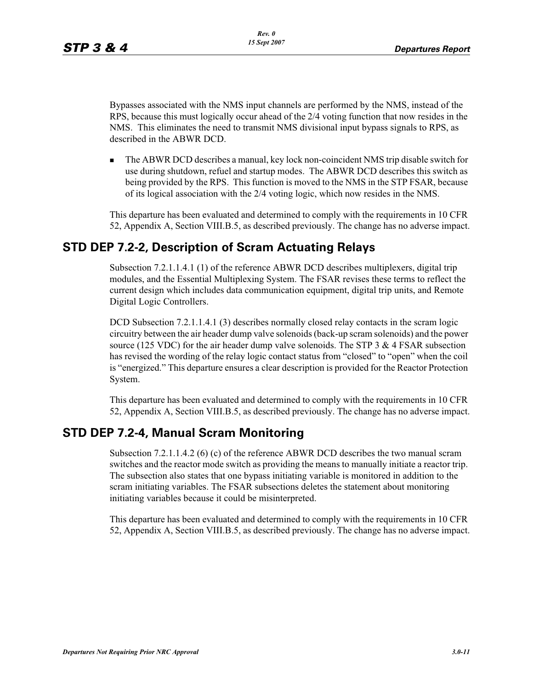Bypasses associated with the NMS input channels are performed by the NMS, instead of the RPS, because this must logically occur ahead of the 2/4 voting function that now resides in the NMS. This eliminates the need to transmit NMS divisional input bypass signals to RPS, as described in the ABWR DCD.

- The ABWR DCD describes a manual, key lock non-coincident NMS trip disable switch for use during shutdown, refuel and startup modes. The ABWR DCD describes this switch as being provided by the RPS. This function is moved to the NMS in the STP FSAR, because of its logical association with the 2/4 voting logic, which now resides in the NMS.

This departure has been evaluated and determined to comply with the requirements in 10 CFR 52, Appendix A, Section VIII.B.5, as described previously. The change has no adverse impact.

# **STD DEP 7.2-2, Description of Scram Actuating Relays**

Subsection 7.2.1.1.4.1 (1) of the reference ABWR DCD describes multiplexers, digital trip modules, and the Essential Multiplexing System. The FSAR revises these terms to reflect the current design which includes data communication equipment, digital trip units, and Remote Digital Logic Controllers.

DCD Subsection 7.2.1.1.4.1 (3) describes normally closed relay contacts in the scram logic circuitry between the air header dump valve solenoids (back-up scram solenoids) and the power source (125 VDC) for the air header dump valve solenoids. The STP  $3 \& 4$  FSAR subsection has revised the wording of the relay logic contact status from "closed" to "open" when the coil is "energized." This departure ensures a clear description is provided for the Reactor Protection System.

This departure has been evaluated and determined to comply with the requirements in 10 CFR 52, Appendix A, Section VIII.B.5, as described previously. The change has no adverse impact.

# **STD DEP 7.2-4, Manual Scram Monitoring**

Subsection 7.2.1.1.4.2 (6) (c) of the reference ABWR DCD describes the two manual scram switches and the reactor mode switch as providing the means to manually initiate a reactor trip. The subsection also states that one bypass initiating variable is monitored in addition to the scram initiating variables. The FSAR subsections deletes the statement about monitoring initiating variables because it could be misinterpreted.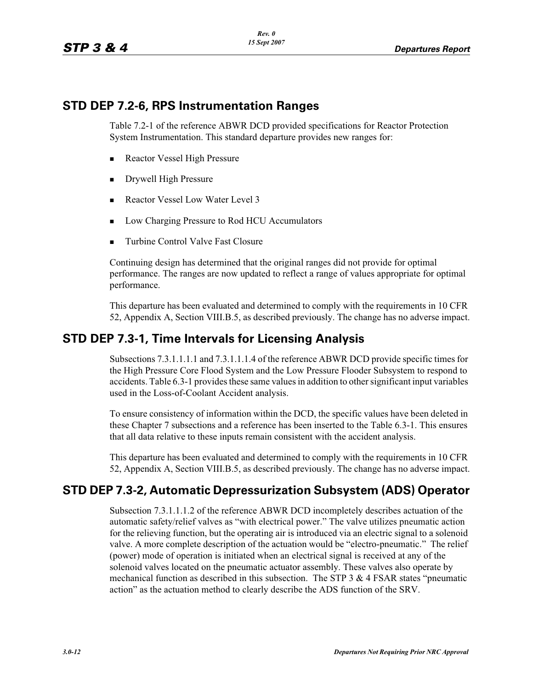#### **STD DEP 7.2-6, RPS Instrumentation Ranges**

Table 7.2-1 of the reference ABWR DCD provided specifications for Reactor Protection System Instrumentation. This standard departure provides new ranges for:

- -Reactor Vessel High Pressure
- -Drywell High Pressure
- -Reactor Vessel Low Water Level 3
- -Low Charging Pressure to Rod HCU Accumulators
- -Turbine Control Valve Fast Closure

Continuing design has determined that the original ranges did not provide for optimal performance. The ranges are now updated to reflect a range of values appropriate for optimal performance.

This departure has been evaluated and determined to comply with the requirements in 10 CFR 52, Appendix A, Section VIII.B.5, as described previously. The change has no adverse impact.

#### **STD DEP 7.3-1, Time Intervals for Licensing Analysis**

Subsections 7.3.1.1.1.1 and 7.3.1.1.1.4 of the reference ABWR DCD provide specific times for the High Pressure Core Flood System and the Low Pressure Flooder Subsystem to respond to accidents. Table 6.3-1 provides these same values in addition to other significant input variables used in the Loss-of-Coolant Accident analysis.

To ensure consistency of information within the DCD, the specific values have been deleted in these Chapter 7 subsections and a reference has been inserted to the Table 6.3-1. This ensures that all data relative to these inputs remain consistent with the accident analysis.

This departure has been evaluated and determined to comply with the requirements in 10 CFR 52, Appendix A, Section VIII.B.5, as described previously. The change has no adverse impact.

# **STD DEP 7.3-2, Automatic Depressurization Subsystem (ADS) Operator**

Subsection 7.3.1.1.1.2 of the reference ABWR DCD incompletely describes actuation of the automatic safety/relief valves as "with electrical power." The valve utilizes pneumatic action for the relieving function, but the operating air is introduced via an electric signal to a solenoid valve. A more complete description of the actuation would be "electro-pneumatic." The relief (power) mode of operation is initiated when an electrical signal is received at any of the solenoid valves located on the pneumatic actuator assembly. These valves also operate by mechanical function as described in this subsection. The STP 3  $\&$  4 FSAR states "pneumatic action" as the actuation method to clearly describe the ADS function of the SRV.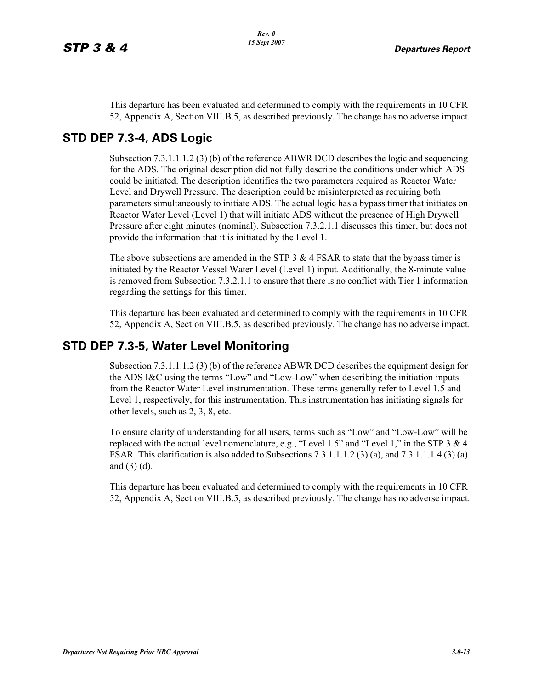This departure has been evaluated and determined to comply with the requirements in 10 CFR 52, Appendix A, Section VIII.B.5, as described previously. The change has no adverse impact.

#### **STD DEP 7.3-4, ADS Logic**

Subsection 7.3.1.1.1.2 (3) (b) of the reference ABWR DCD describes the logic and sequencing for the ADS. The original description did not fully describe the conditions under which ADS could be initiated. The description identifies the two parameters required as Reactor Water Level and Drywell Pressure. The description could be misinterpreted as requiring both parameters simultaneously to initiate ADS. The actual logic has a bypass timer that initiates on Reactor Water Level (Level 1) that will initiate ADS without the presence of High Drywell Pressure after eight minutes (nominal). Subsection 7.3.2.1.1 discusses this timer, but does not provide the information that it is initiated by the Level 1.

The above subsections are amended in the STP  $3 \& 4$  FSAR to state that the bypass timer is initiated by the Reactor Vessel Water Level (Level 1) input. Additionally, the 8-minute value is removed from Subsection 7.3.2.1.1 to ensure that there is no conflict with Tier 1 information regarding the settings for this timer.

This departure has been evaluated and determined to comply with the requirements in 10 CFR 52, Appendix A, Section VIII.B.5, as described previously. The change has no adverse impact.

### **STD DEP 7.3-5, Water Level Monitoring**

Subsection 7.3.1.1.1.2 (3) (b) of the reference ABWR DCD describes the equipment design for the ADS I&C using the terms "Low" and "Low-Low" when describing the initiation inputs from the Reactor Water Level instrumentation. These terms generally refer to Level 1.5 and Level 1, respectively, for this instrumentation. This instrumentation has initiating signals for other levels, such as 2, 3, 8, etc.

To ensure clarity of understanding for all users, terms such as "Low" and "Low-Low" will be replaced with the actual level nomenclature, e.g., "Level 1.5" and "Level 1," in the STP 3 & 4 FSAR. This clarification is also added to Subsections 7.3.1.1.1.2 (3) (a), and 7.3.1.1.1.4 (3) (a) and (3) (d).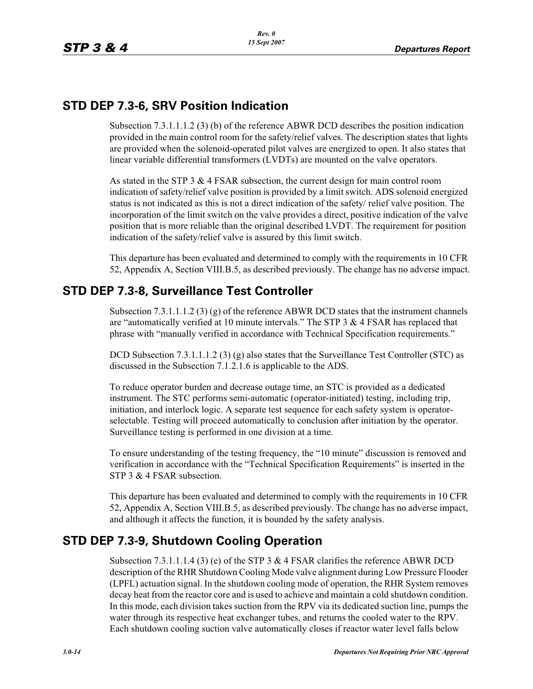### **STD DEP 7.3-6, SRV Position Indication**

Subsection 7.3.1.1.1.2 (3) (b) of the reference ABWR DCD describes the position indication provided in the main control room for the safety/relief valves. The description states that lights are provided when the solenoid-operated pilot valves are energized to open. It also states that linear variable differential transformers (LVDTs) are mounted on the valve operators.

As stated in the STP 3 & 4 FSAR subsection, the current design for main control room indication of safety/relief valve position is provided by a limit switch. ADS solenoid energized status is not indicated as this is not a direct indication of the safety/ relief valve position. The incorporation of the limit switch on the valve provides a direct, positive indication of the valve position that is more reliable than the original described LVDT. The requirement for position indication of the safety/relief valve is assured by this limit switch.

This departure has been evaluated and determined to comply with the requirements in 10 CFR 52, Appendix A, Section VIII.B.5, as described previously. The change has no adverse impact.

# **STD DEP 7.3-8, Surveillance Test Controller**

Subsection 7.3.1.1.1.2 (3) (g) of the reference ABWR DCD states that the instrument channels are "automatically verified at 10 minute intervals." The STP  $3 \& 4$  FSAR has replaced that phrase with "manually verified in accordance with Technical Specification requirements."

DCD Subsection 7.3.1.1.1.2 (3) (g) also states that the Surveillance Test Controller (STC) as discussed in the Subsection 7.1.2.1.6 is applicable to the ADS.

To reduce operator burden and decrease outage time, an STC is provided as a dedicated instrument. The STC performs semi-automatic (operator-initiated) testing, including trip, initiation, and interlock logic. A separate test sequence for each safety system is operatorselectable. Testing will proceed automatically to conclusion after initiation by the operator. Surveillance testing is performed in one division at a time.

To ensure understanding of the testing frequency, the "10 minute" discussion is removed and verification in accordance with the "Technical Specification Requirements" is inserted in the STP 3 & 4 FSAR subsection.

This departure has been evaluated and determined to comply with the requirements in 10 CFR 52, Appendix A, Section VIII.B.5, as described previously. The change has no adverse impact, and although it affects the function, it is bounded by the safety analysis.

# **STD DEP 7.3-9, Shutdown Cooling Operation**

Subsection 7.3.1.1.1.4 (3) (e) of the STP 3  $\&$  4 FSAR clarifies the reference ABWR DCD description of the RHR Shutdown Cooling Mode valve alignment during Low Pressure Flooder (LPFL) actuation signal. In the shutdown cooling mode of operation, the RHR System removes decay heat from the reactor core and is used to achieve and maintain a cold shutdown condition. In this mode, each division takes suction from the RPV via its dedicated suction line, pumps the water through its respective heat exchanger tubes, and returns the cooled water to the RPV. Each shutdown cooling suction valve automatically closes if reactor water level falls below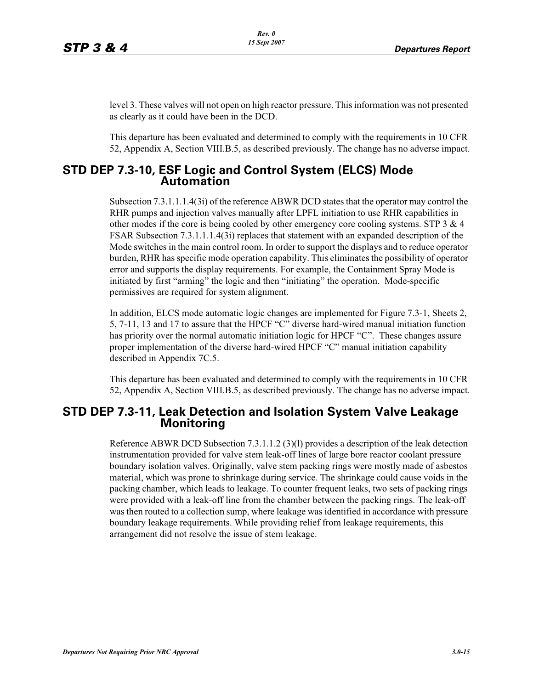level 3. These valves will not open on high reactor pressure. This information was not presented as clearly as it could have been in the DCD.

This departure has been evaluated and determined to comply with the requirements in 10 CFR 52, Appendix A, Section VIII.B.5, as described previously. The change has no adverse impact.

#### **STD DEP 7.3-10, ESF Logic and Control System (ELCS) Mode Automation**

Subsection 7.3.1.1.1.4(3i) of the reference ABWR DCD states that the operator may control the RHR pumps and injection valves manually after LPFL initiation to use RHR capabilities in other modes if the core is being cooled by other emergency core cooling systems. STP  $3 \& 4$ FSAR Subsection 7.3.1.1.1.4(3i) replaces that statement with an expanded description of the Mode switches in the main control room. In order to support the displays and to reduce operator burden, RHR has specific mode operation capability. This eliminates the possibility of operator error and supports the display requirements. For example, the Containment Spray Mode is initiated by first "arming" the logic and then "initiating" the operation. Mode-specific permissives are required for system alignment.

In addition, ELCS mode automatic logic changes are implemented for Figure 7.3-1, Sheets 2, 5, 7-11, 13 and 17 to assure that the HPCF "C" diverse hard-wired manual initiation function has priority over the normal automatic initiation logic for HPCF "C". These changes assure proper implementation of the diverse hard-wired HPCF "C" manual initiation capability described in Appendix 7C.5.

This departure has been evaluated and determined to comply with the requirements in 10 CFR 52, Appendix A, Section VIII.B.5, as described previously. The change has no adverse impact.

#### **STD DEP 7.3-11, Leak Detection and Isolation System Valve Leakage Monitoring**

Reference ABWR DCD Subsection 7.3.1.1.2 (3)(l) provides a description of the leak detection instrumentation provided for valve stem leak-off lines of large bore reactor coolant pressure boundary isolation valves. Originally, valve stem packing rings were mostly made of asbestos material, which was prone to shrinkage during service. The shrinkage could cause voids in the packing chamber, which leads to leakage. To counter frequent leaks, two sets of packing rings were provided with a leak-off line from the chamber between the packing rings. The leak-off was then routed to a collection sump, where leakage was identified in accordance with pressure boundary leakage requirements. While providing relief from leakage requirements, this arrangement did not resolve the issue of stem leakage.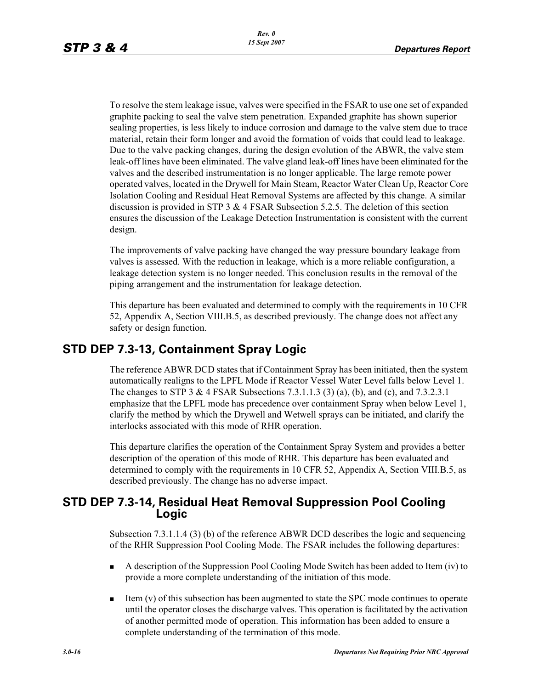To resolve the stem leakage issue, valves were specified in the FSAR to use one set of expanded graphite packing to seal the valve stem penetration. Expanded graphite has shown superior sealing properties, is less likely to induce corrosion and damage to the valve stem due to trace material, retain their form longer and avoid the formation of voids that could lead to leakage. Due to the valve packing changes, during the design evolution of the ABWR, the valve stem leak-off lines have been eliminated. The valve gland leak-off lines have been eliminated for the valves and the described instrumentation is no longer applicable. The large remote power operated valves, located in the Drywell for Main Steam, Reactor Water Clean Up, Reactor Core Isolation Cooling and Residual Heat Removal Systems are affected by this change. A similar discussion is provided in STP 3 & 4 FSAR Subsection 5.2.5. The deletion of this section ensures the discussion of the Leakage Detection Instrumentation is consistent with the current design.

The improvements of valve packing have changed the way pressure boundary leakage from valves is assessed. With the reduction in leakage, which is a more reliable configuration, a leakage detection system is no longer needed. This conclusion results in the removal of the piping arrangement and the instrumentation for leakage detection.

This departure has been evaluated and determined to comply with the requirements in 10 CFR 52, Appendix A, Section VIII.B.5, as described previously. The change does not affect any safety or design function.

#### **STD DEP 7.3-13, Containment Spray Logic**

The reference ABWR DCD states that if Containment Spray has been initiated, then the system automatically realigns to the LPFL Mode if Reactor Vessel Water Level falls below Level 1. The changes to STP 3 & 4 FSAR Subsections 7.3.1.1.3 (3) (a), (b), and (c), and 7.3.2.3.1 emphasize that the LPFL mode has precedence over containment Spray when below Level 1, clarify the method by which the Drywell and Wetwell sprays can be initiated, and clarify the interlocks associated with this mode of RHR operation.

This departure clarifies the operation of the Containment Spray System and provides a better description of the operation of this mode of RHR. This departure has been evaluated and determined to comply with the requirements in 10 CFR 52, Appendix A, Section VIII.B.5, as described previously. The change has no adverse impact.

#### **STD DEP 7.3-14, Residual Heat Removal Suppression Pool Cooling Logic**

Subsection 7.3.1.1.4 (3) (b) of the reference ABWR DCD describes the logic and sequencing of the RHR Suppression Pool Cooling Mode. The FSAR includes the following departures:

- - A description of the Suppression Pool Cooling Mode Switch has been added to Item (iv) to provide a more complete understanding of the initiation of this mode.
- - Item (v) of this subsection has been augmented to state the SPC mode continues to operate until the operator closes the discharge valves. This operation is facilitated by the activation of another permitted mode of operation. This information has been added to ensure a complete understanding of the termination of this mode.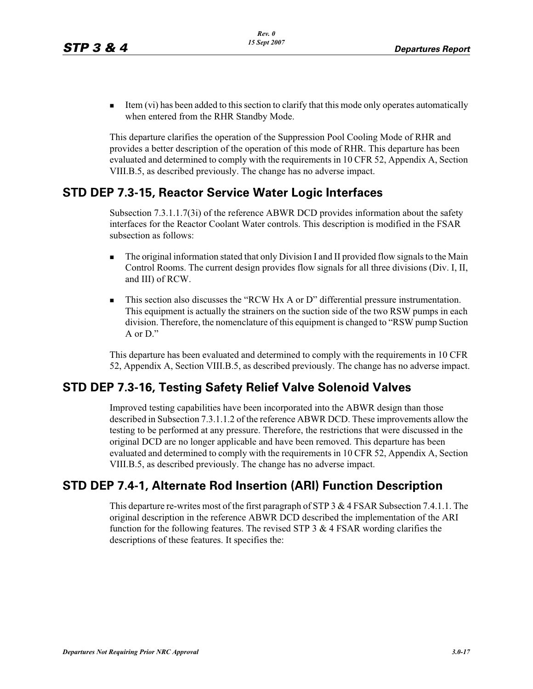- Item (vi) has been added to this section to clarify that this mode only operates automatically when entered from the RHR Standby Mode.

This departure clarifies the operation of the Suppression Pool Cooling Mode of RHR and provides a better description of the operation of this mode of RHR. This departure has been evaluated and determined to comply with the requirements in 10 CFR 52, Appendix A, Section VIII.B.5, as described previously. The change has no adverse impact.

#### **STD DEP 7.3-15, Reactor Service Water Logic Interfaces**

Subsection 7.3.1.1.7(3i) of the reference ABWR DCD provides information about the safety interfaces for the Reactor Coolant Water controls. This description is modified in the FSAR subsection as follows:

- - The original information stated that only Division I and II provided flow signals to the Main Control Rooms. The current design provides flow signals for all three divisions (Div. I, II, and III) of RCW.
- - This section also discusses the "RCW Hx A or D" differential pressure instrumentation. This equipment is actually the strainers on the suction side of the two RSW pumps in each division. Therefore, the nomenclature of this equipment is changed to "RSW pump Suction A or  $D$ ."

This departure has been evaluated and determined to comply with the requirements in 10 CFR 52, Appendix A, Section VIII.B.5, as described previously. The change has no adverse impact.

# **STD DEP 7.3-16, Testing Safety Relief Valve Solenoid Valves**

Improved testing capabilities have been incorporated into the ABWR design than those described in Subsection 7.3.1.1.2 of the reference ABWR DCD. These improvements allow the testing to be performed at any pressure. Therefore, the restrictions that were discussed in the original DCD are no longer applicable and have been removed. This departure has been evaluated and determined to comply with the requirements in 10 CFR 52, Appendix A, Section VIII.B.5, as described previously. The change has no adverse impact.

# **STD DEP 7.4-1, Alternate Rod Insertion (ARI) Function Description**

This departure re-writes most of the first paragraph of STP 3  $\&$  4 FSAR Subsection 7.4.1.1. The original description in the reference ABWR DCD described the implementation of the ARI function for the following features. The revised STP  $3 \& 4$  FSAR wording clarifies the descriptions of these features. It specifies the: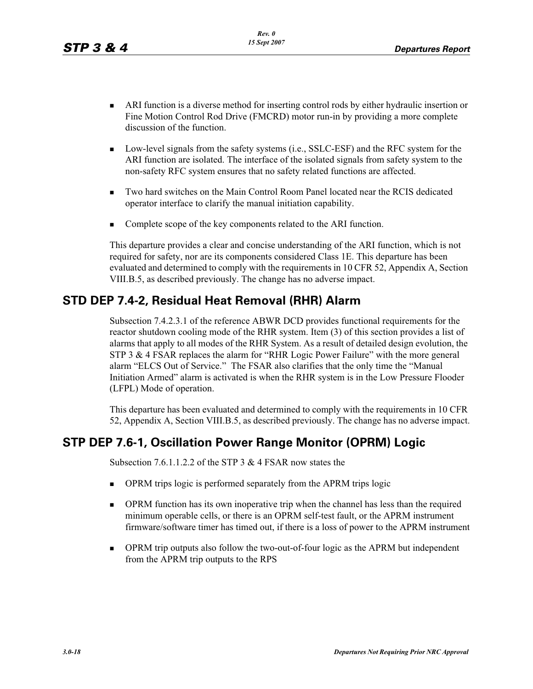- **ARI** function is a diverse method for inserting control rods by either hydraulic insertion or Fine Motion Control Rod Drive (FMCRD) motor run-in by providing a more complete discussion of the function.
- - Low-level signals from the safety systems (i.e., SSLC-ESF) and the RFC system for the ARI function are isolated. The interface of the isolated signals from safety system to the non-safety RFC system ensures that no safety related functions are affected.
- - Two hard switches on the Main Control Room Panel located near the RCIS dedicated operator interface to clarify the manual initiation capability.
- -Complete scope of the key components related to the ARI function.

This departure provides a clear and concise understanding of the ARI function, which is not required for safety, nor are its components considered Class 1E. This departure has been evaluated and determined to comply with the requirements in 10 CFR 52, Appendix A, Section VIII.B.5, as described previously. The change has no adverse impact.

# **STD DEP 7.4-2, Residual Heat Removal (RHR) Alarm**

Subsection 7.4.2.3.1 of the reference ABWR DCD provides functional requirements for the reactor shutdown cooling mode of the RHR system. Item (3) of this section provides a list of alarms that apply to all modes of the RHR System. As a result of detailed design evolution, the STP 3 & 4 FSAR replaces the alarm for "RHR Logic Power Failure" with the more general alarm "ELCS Out of Service." The FSAR also clarifies that the only time the "Manual Initiation Armed" alarm is activated is when the RHR system is in the Low Pressure Flooder (LFPL) Mode of operation.

This departure has been evaluated and determined to comply with the requirements in 10 CFR 52, Appendix A, Section VIII.B.5, as described previously. The change has no adverse impact.

# **STP DEP 7.6-1, Oscillation Power Range Monitor (OPRM) Logic**

Subsection 7.6.1.1.2.2 of the STP 3 & 4 FSAR now states the

- -OPRM trips logic is performed separately from the APRM trips logic
- - OPRM function has its own inoperative trip when the channel has less than the required minimum operable cells, or there is an OPRM self-test fault, or the APRM instrument firmware/software timer has timed out, if there is a loss of power to the APRM instrument
- - OPRM trip outputs also follow the two-out-of-four logic as the APRM but independent from the APRM trip outputs to the RPS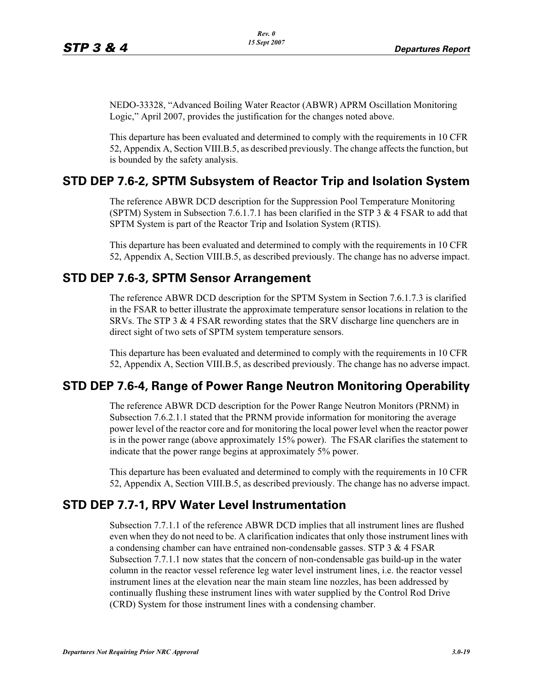NEDO-33328, "Advanced Boiling Water Reactor (ABWR) APRM Oscillation Monitoring Logic," April 2007, provides the justification for the changes noted above.

This departure has been evaluated and determined to comply with the requirements in 10 CFR 52, Appendix A, Section VIII.B.5, as described previously. The change affects the function, but is bounded by the safety analysis.

#### **STD DEP 7.6-2, SPTM Subsystem of Reactor Trip and Isolation System**

The reference ABWR DCD description for the Suppression Pool Temperature Monitoring (SPTM) System in Subsection 7.6.1.7.1 has been clarified in the STP 3 & 4 FSAR to add that SPTM System is part of the Reactor Trip and Isolation System (RTIS).

This departure has been evaluated and determined to comply with the requirements in 10 CFR 52, Appendix A, Section VIII.B.5, as described previously. The change has no adverse impact.

#### **STD DEP 7.6-3, SPTM Sensor Arrangement**

The reference ABWR DCD description for the SPTM System in Section 7.6.1.7.3 is clarified in the FSAR to better illustrate the approximate temperature sensor locations in relation to the SRVs. The STP 3  $&$  4 FSAR rewording states that the SRV discharge line quenchers are in direct sight of two sets of SPTM system temperature sensors.

This departure has been evaluated and determined to comply with the requirements in 10 CFR 52, Appendix A, Section VIII.B.5, as described previously. The change has no adverse impact.

# **STD DEP 7.6-4, Range of Power Range Neutron Monitoring Operability**

The reference ABWR DCD description for the Power Range Neutron Monitors (PRNM) in Subsection 7.6.2.1.1 stated that the PRNM provide information for monitoring the average power level of the reactor core and for monitoring the local power level when the reactor power is in the power range (above approximately 15% power). The FSAR clarifies the statement to indicate that the power range begins at approximately 5% power.

This departure has been evaluated and determined to comply with the requirements in 10 CFR 52, Appendix A, Section VIII.B.5, as described previously. The change has no adverse impact.

#### **STD DEP 7.7-1, RPV Water Level Instrumentation**

Subsection 7.7.1.1 of the reference ABWR DCD implies that all instrument lines are flushed even when they do not need to be. A clarification indicates that only those instrument lines with a condensing chamber can have entrained non-condensable gasses. STP 3 & 4 FSAR Subsection 7.7.1.1 now states that the concern of non-condensable gas build-up in the water column in the reactor vessel reference leg water level instrument lines, i.e. the reactor vessel instrument lines at the elevation near the main steam line nozzles, has been addressed by continually flushing these instrument lines with water supplied by the Control Rod Drive (CRD) System for those instrument lines with a condensing chamber.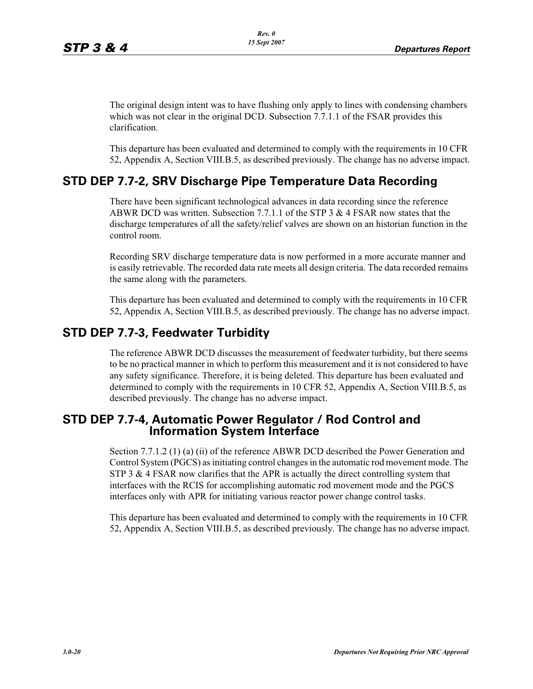The original design intent was to have flushing only apply to lines with condensing chambers which was not clear in the original DCD. Subsection 7.7.1.1 of the FSAR provides this clarification.

This departure has been evaluated and determined to comply with the requirements in 10 CFR 52, Appendix A, Section VIII.B.5, as described previously. The change has no adverse impact.

#### **STD DEP 7.7-2, SRV Discharge Pipe Temperature Data Recording**

There have been significant technological advances in data recording since the reference ABWR DCD was written. Subsection 7.7.1.1 of the STP 3 & 4 FSAR now states that the discharge temperatures of all the safety/relief valves are shown on an historian function in the control room.

Recording SRV discharge temperature data is now performed in a more accurate manner and is easily retrievable. The recorded data rate meets all design criteria. The data recorded remains the same along with the parameters.

This departure has been evaluated and determined to comply with the requirements in 10 CFR 52, Appendix A, Section VIII.B.5, as described previously. The change has no adverse impact.

#### **STD DEP 7.7-3, Feedwater Turbidity**

The reference ABWR DCD discusses the measurement of feedwater turbidity, but there seems to be no practical manner in which to perform this measurement and it is not considered to have any safety significance. Therefore, it is being deleted. This departure has been evaluated and determined to comply with the requirements in 10 CFR 52, Appendix A, Section VIII.B.5, as described previously. The change has no adverse impact.

# **STD DEP 7.7-4, Automatic Power Regulator / Rod Control and Information System Interface**

Section 7.7.1.2 (1) (a) (ii) of the reference ABWR DCD described the Power Generation and Control System (PGCS) as initiating control changes in the automatic rod movement mode. The STP 3  $\&$  4 FSAR now clarifies that the APR is actually the direct controlling system that interfaces with the RCIS for accomplishing automatic rod movement mode and the PGCS interfaces only with APR for initiating various reactor power change control tasks.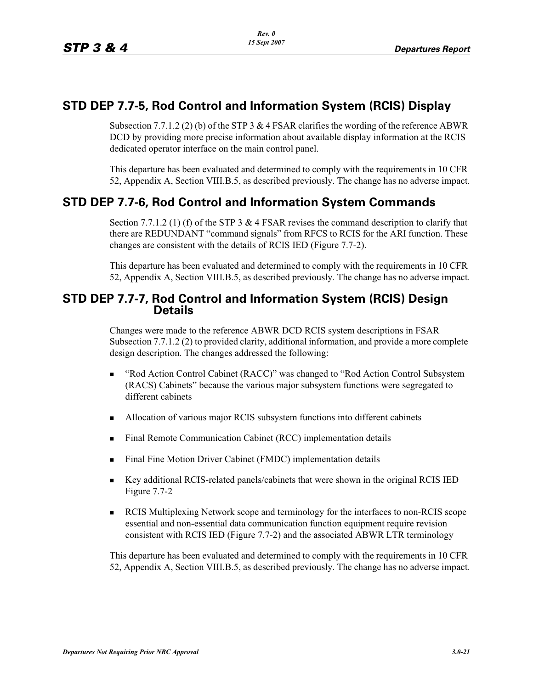### **STD DEP 7.7-5, Rod Control and Information System (RCIS) Display**

Subsection 7.7.1.2 (2) (b) of the STP 3 & 4 FSAR clarifies the wording of the reference ABWR DCD by providing more precise information about available display information at the RCIS dedicated operator interface on the main control panel.

This departure has been evaluated and determined to comply with the requirements in 10 CFR 52, Appendix A, Section VIII.B.5, as described previously. The change has no adverse impact.

# **STD DEP 7.7-6, Rod Control and Information System Commands**

Section 7.7.1.2 (1) (f) of the STP 3 & 4 FSAR revises the command description to clarify that there are REDUNDANT "command signals" from RFCS to RCIS for the ARI function. These changes are consistent with the details of RCIS IED (Figure 7.7-2).

This departure has been evaluated and determined to comply with the requirements in 10 CFR 52, Appendix A, Section VIII.B.5, as described previously. The change has no adverse impact.

#### **STD DEP 7.7-7, Rod Control and Information System (RCIS) Design Details**

Changes were made to the reference ABWR DCD RCIS system descriptions in FSAR Subsection 7.7.1.2 (2) to provided clarity, additional information, and provide a more complete design description. The changes addressed the following:

- - "Rod Action Control Cabinet (RACC)" was changed to "Rod Action Control Subsystem (RACS) Cabinets" because the various major subsystem functions were segregated to different cabinets
- -Allocation of various major RCIS subsystem functions into different cabinets
- -Final Remote Communication Cabinet (RCC) implementation details
- -Final Fine Motion Driver Cabinet (FMDC) implementation details
- - Key additional RCIS-related panels/cabinets that were shown in the original RCIS IED Figure 7.7-2
- - RCIS Multiplexing Network scope and terminology for the interfaces to non-RCIS scope essential and non-essential data communication function equipment require revision consistent with RCIS IED (Figure 7.7-2) and the associated ABWR LTR terminology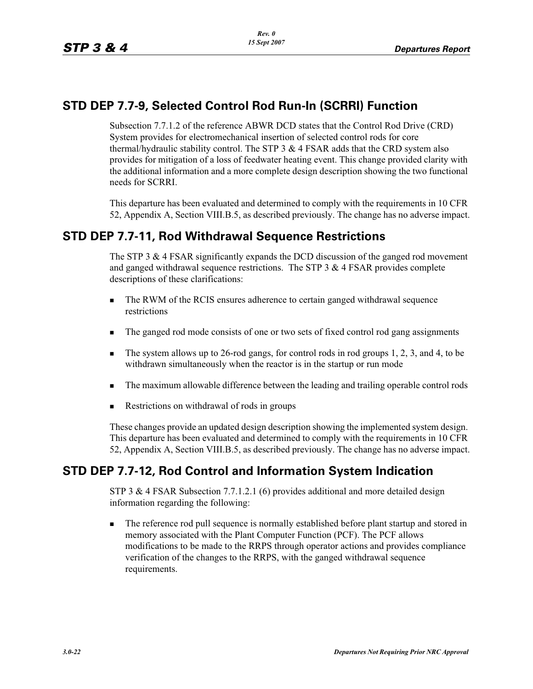# **STD DEP 7.7-9, Selected Control Rod Run-In (SCRRI) Function**

Subsection 7.7.1.2 of the reference ABWR DCD states that the Control Rod Drive (CRD) System provides for electromechanical insertion of selected control rods for core thermal/hydraulic stability control. The STP  $3 \& 4$  FSAR adds that the CRD system also provides for mitigation of a loss of feedwater heating event. This change provided clarity with the additional information and a more complete design description showing the two functional needs for SCRRI.

This departure has been evaluated and determined to comply with the requirements in 10 CFR 52, Appendix A, Section VIII.B.5, as described previously. The change has no adverse impact.

#### **STD DEP 7.7-11, Rod Withdrawal Sequence Restrictions**

The STP 3  $\&$  4 FSAR significantly expands the DCD discussion of the ganged rod movement and ganged withdrawal sequence restrictions. The STP 3 & 4 FSAR provides complete descriptions of these clarifications:

- - The RWM of the RCIS ensures adherence to certain ganged withdrawal sequence restrictions
- -The ganged rod mode consists of one or two sets of fixed control rod gang assignments
- - The system allows up to 26-rod gangs, for control rods in rod groups 1, 2, 3, and 4, to be withdrawn simultaneously when the reactor is in the startup or run mode
- -The maximum allowable difference between the leading and trailing operable control rods
- -Restrictions on withdrawal of rods in groups

These changes provide an updated design description showing the implemented system design. This departure has been evaluated and determined to comply with the requirements in 10 CFR 52, Appendix A, Section VIII.B.5, as described previously. The change has no adverse impact.

# **STD DEP 7.7-12, Rod Control and Information System Indication**

STP 3 & 4 FSAR Subsection 7.7.1.2.1 (6) provides additional and more detailed design information regarding the following:

- The reference rod pull sequence is normally established before plant startup and stored in memory associated with the Plant Computer Function (PCF). The PCF allows modifications to be made to the RRPS through operator actions and provides compliance verification of the changes to the RRPS, with the ganged withdrawal sequence requirements.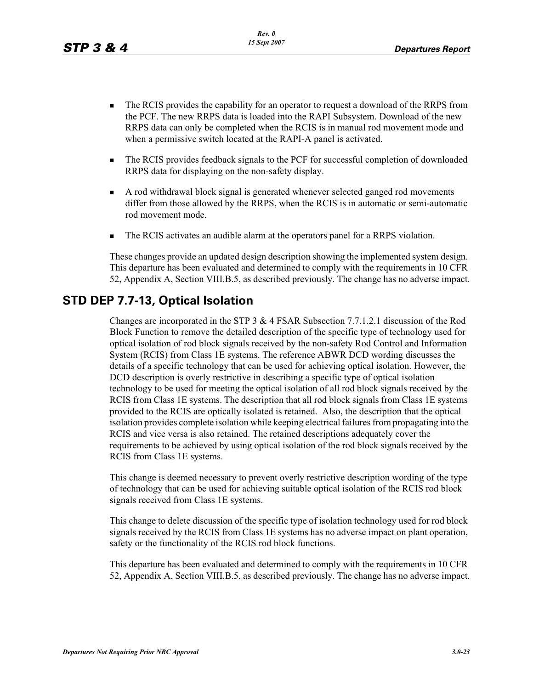- - The RCIS provides the capability for an operator to request a download of the RRPS from the PCF. The new RRPS data is loaded into the RAPI Subsystem. Download of the new RRPS data can only be completed when the RCIS is in manual rod movement mode and when a permissive switch located at the RAPI-A panel is activated.
- - The RCIS provides feedback signals to the PCF for successful completion of downloaded RRPS data for displaying on the non-safety display.
- - A rod withdrawal block signal is generated whenever selected ganged rod movements differ from those allowed by the RRPS, when the RCIS is in automatic or semi-automatic rod movement mode.
- -The RCIS activates an audible alarm at the operators panel for a RRPS violation.

These changes provide an updated design description showing the implemented system design. This departure has been evaluated and determined to comply with the requirements in 10 CFR 52, Appendix A, Section VIII.B.5, as described previously. The change has no adverse impact.

#### **STD DEP 7.7-13, Optical Isolation**

Changes are incorporated in the STP 3 & 4 FSAR Subsection 7.7.1.2.1 discussion of the Rod Block Function to remove the detailed description of the specific type of technology used for optical isolation of rod block signals received by the non-safety Rod Control and Information System (RCIS) from Class 1E systems. The reference ABWR DCD wording discusses the details of a specific technology that can be used for achieving optical isolation. However, the DCD description is overly restrictive in describing a specific type of optical isolation technology to be used for meeting the optical isolation of all rod block signals received by the RCIS from Class 1E systems. The description that all rod block signals from Class 1E systems provided to the RCIS are optically isolated is retained. Also, the description that the optical isolation provides complete isolation while keeping electrical failures from propagating into the RCIS and vice versa is also retained. The retained descriptions adequately cover the requirements to be achieved by using optical isolation of the rod block signals received by the RCIS from Class 1E systems.

This change is deemed necessary to prevent overly restrictive description wording of the type of technology that can be used for achieving suitable optical isolation of the RCIS rod block signals received from Class 1E systems.

This change to delete discussion of the specific type of isolation technology used for rod block signals received by the RCIS from Class 1E systems has no adverse impact on plant operation, safety or the functionality of the RCIS rod block functions.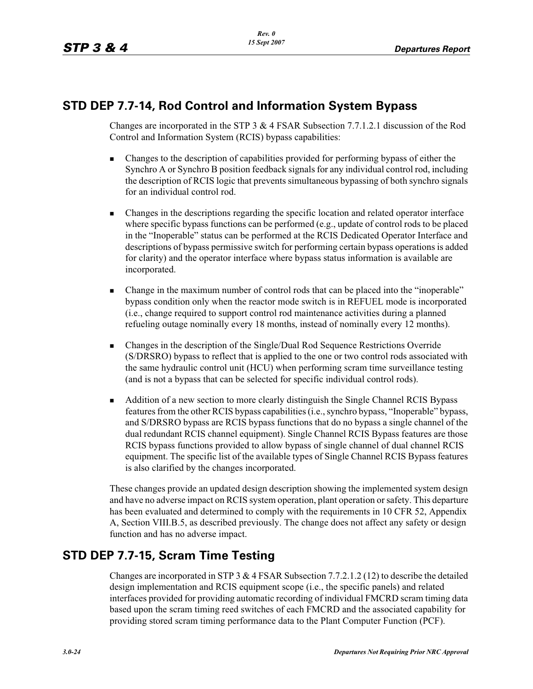### **STD DEP 7.7-14, Rod Control and Information System Bypass**

Changes are incorporated in the STP 3 & 4 FSAR Subsection 7.7.1.2.1 discussion of the Rod Control and Information System (RCIS) bypass capabilities:

- - Changes to the description of capabilities provided for performing bypass of either the Synchro A or Synchro B position feedback signals for any individual control rod, including the description of RCIS logic that prevents simultaneous bypassing of both synchro signals for an individual control rod.
- - Changes in the descriptions regarding the specific location and related operator interface where specific bypass functions can be performed (e.g., update of control rods to be placed in the "Inoperable" status can be performed at the RCIS Dedicated Operator Interface and descriptions of bypass permissive switch for performing certain bypass operations is added for clarity) and the operator interface where bypass status information is available are incorporated.
- - Change in the maximum number of control rods that can be placed into the "inoperable" bypass condition only when the reactor mode switch is in REFUEL mode is incorporated (i.e., change required to support control rod maintenance activities during a planned refueling outage nominally every 18 months, instead of nominally every 12 months).
- - Changes in the description of the Single/Dual Rod Sequence Restrictions Override (S/DRSRO) bypass to reflect that is applied to the one or two control rods associated with the same hydraulic control unit (HCU) when performing scram time surveillance testing (and is not a bypass that can be selected for specific individual control rods).
- - Addition of a new section to more clearly distinguish the Single Channel RCIS Bypass features from the other RCIS bypass capabilities (i.e., synchro bypass, "Inoperable" bypass, and S/DRSRO bypass are RCIS bypass functions that do no bypass a single channel of the dual redundant RCIS channel equipment). Single Channel RCIS Bypass features are those RCIS bypass functions provided to allow bypass of single channel of dual channel RCIS equipment. The specific list of the available types of Single Channel RCIS Bypass features is also clarified by the changes incorporated.

These changes provide an updated design description showing the implemented system design and have no adverse impact on RCIS system operation, plant operation or safety. This departure has been evaluated and determined to comply with the requirements in 10 CFR 52, Appendix A, Section VIII.B.5, as described previously. The change does not affect any safety or design function and has no adverse impact.

# **STD DEP 7.7-15, Scram Time Testing**

Changes are incorporated in STP 3  $&$  4 FSAR Subsection 7.7.2.1.2 (12) to describe the detailed design implementation and RCIS equipment scope (i.e., the specific panels) and related interfaces provided for providing automatic recording of individual FMCRD scram timing data based upon the scram timing reed switches of each FMCRD and the associated capability for providing stored scram timing performance data to the Plant Computer Function (PCF).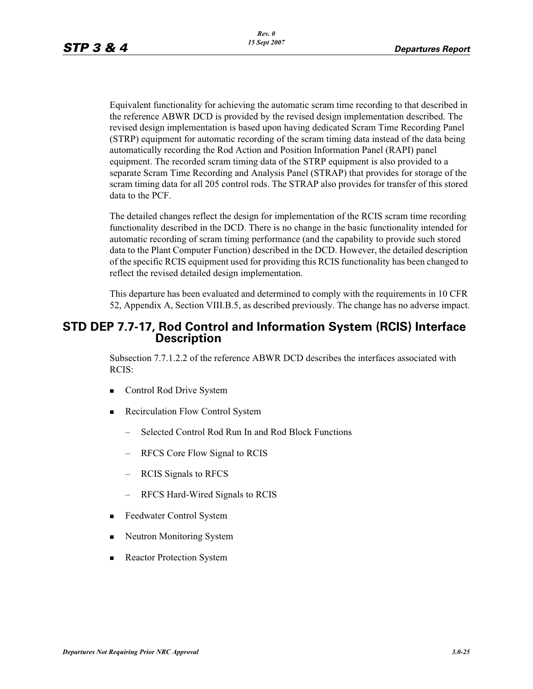Equivalent functionality for achieving the automatic scram time recording to that described in the reference ABWR DCD is provided by the revised design implementation described. The revised design implementation is based upon having dedicated Scram Time Recording Panel (STRP) equipment for automatic recording of the scram timing data instead of the data being automatically recording the Rod Action and Position Information Panel (RAPI) panel equipment. The recorded scram timing data of the STRP equipment is also provided to a separate Scram Time Recording and Analysis Panel (STRAP) that provides for storage of the scram timing data for all 205 control rods. The STRAP also provides for transfer of this stored data to the PCF.

The detailed changes reflect the design for implementation of the RCIS scram time recording functionality described in the DCD. There is no change in the basic functionality intended for automatic recording of scram timing performance (and the capability to provide such stored data to the Plant Computer Function) described in the DCD. However, the detailed description of the specific RCIS equipment used for providing this RCIS functionality has been changed to reflect the revised detailed design implementation.

This departure has been evaluated and determined to comply with the requirements in 10 CFR 52, Appendix A, Section VIII.B.5, as described previously. The change has no adverse impact.

#### **STD DEP 7.7-17, Rod Control and Information System (RCIS) Interface Description**

Subsection 7.7.1.2.2 of the reference ABWR DCD describes the interfaces associated with RCIS:

- -Control Rod Drive System
- **EXECUTE:** Recirculation Flow Control System
	- Selected Control Rod Run In and Rod Block Functions
	- RFCS Core Flow Signal to RCIS
	- RCIS Signals to RFCS
	- RFCS Hard-Wired Signals to RCIS
- -Feedwater Control System
- -Neutron Monitoring System
- -Reactor Protection System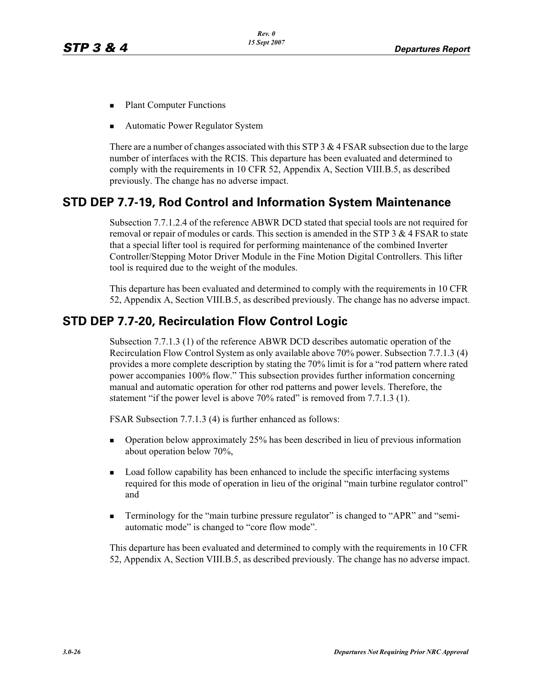- -Plant Computer Functions
- -Automatic Power Regulator System

There are a number of changes associated with this STP  $3 \& 4$  FSAR subsection due to the large number of interfaces with the RCIS. This departure has been evaluated and determined to comply with the requirements in 10 CFR 52, Appendix A, Section VIII.B.5, as described previously. The change has no adverse impact.

# **STD DEP 7.7-19, Rod Control and Information System Maintenance**

Subsection 7.7.1.2.4 of the reference ABWR DCD stated that special tools are not required for removal or repair of modules or cards. This section is amended in the STP  $3 \& 4$  FSAR to state that a special lifter tool is required for performing maintenance of the combined Inverter Controller/Stepping Motor Driver Module in the Fine Motion Digital Controllers. This lifter tool is required due to the weight of the modules.

This departure has been evaluated and determined to comply with the requirements in 10 CFR 52, Appendix A, Section VIII.B.5, as described previously. The change has no adverse impact.

# **STD DEP 7.7-20, Recirculation Flow Control Logic**

Subsection 7.7.1.3 (1) of the reference ABWR DCD describes automatic operation of the Recirculation Flow Control System as only available above 70% power. Subsection 7.7.1.3 (4) provides a more complete description by stating the 70% limit is for a "rod pattern where rated power accompanies 100% flow." This subsection provides further information concerning manual and automatic operation for other rod patterns and power levels. Therefore, the statement "if the power level is above 70% rated" is removed from 7.7.1.3 (1).

FSAR Subsection 7.7.1.3 (4) is further enhanced as follows:

- - Operation below approximately 25% has been described in lieu of previous information about operation below 70%,
- - Load follow capability has been enhanced to include the specific interfacing systems required for this mode of operation in lieu of the original "main turbine regulator control" and
- - Terminology for the "main turbine pressure regulator" is changed to "APR" and "semiautomatic mode" is changed to "core flow mode".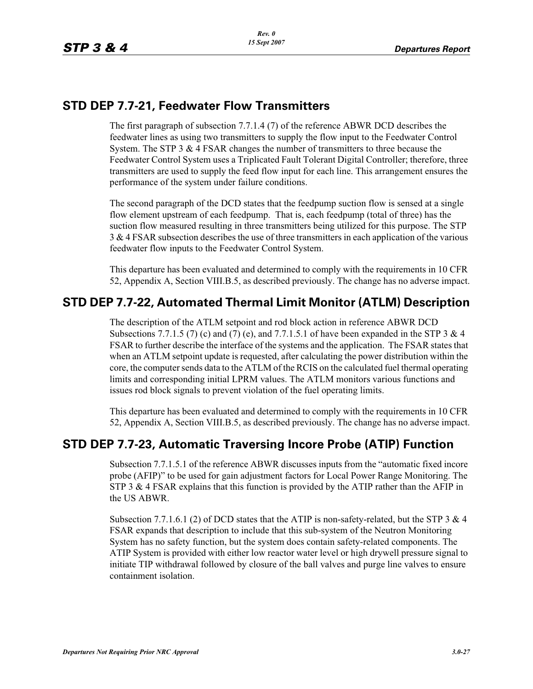#### **STD DEP 7.7-21, Feedwater Flow Transmitters**

The first paragraph of subsection 7.7.1.4 (7) of the reference ABWR DCD describes the feedwater lines as using two transmitters to supply the flow input to the Feedwater Control System. The STP  $3 \& 4$  FSAR changes the number of transmitters to three because the Feedwater Control System uses a Triplicated Fault Tolerant Digital Controller; therefore, three transmitters are used to supply the feed flow input for each line. This arrangement ensures the performance of the system under failure conditions.

The second paragraph of the DCD states that the feedpump suction flow is sensed at a single flow element upstream of each feedpump. That is, each feedpump (total of three) has the suction flow measured resulting in three transmitters being utilized for this purpose. The STP  $3 \& 4$  FSAR subsection describes the use of three transmitters in each application of the various feedwater flow inputs to the Feedwater Control System.

This departure has been evaluated and determined to comply with the requirements in 10 CFR 52, Appendix A, Section VIII.B.5, as described previously. The change has no adverse impact.

# **STD DEP 7.7-22, Automated Thermal Limit Monitor (ATLM) Description**

The description of the ATLM setpoint and rod block action in reference ABWR DCD Subsections 7.7.1.5 (7) (c) and (7) (e), and 7.7.1.5.1 of have been expanded in the STP 3 & 4 FSAR to further describe the interface of the systems and the application. The FSAR states that when an ATLM setpoint update is requested, after calculating the power distribution within the core, the computer sends data to the ATLM of the RCIS on the calculated fuel thermal operating limits and corresponding initial LPRM values. The ATLM monitors various functions and issues rod block signals to prevent violation of the fuel operating limits.

This departure has been evaluated and determined to comply with the requirements in 10 CFR 52, Appendix A, Section VIII.B.5, as described previously. The change has no adverse impact.

# **STD DEP 7.7-23, Automatic Traversing Incore Probe (ATIP) Function**

Subsection 7.7.1.5.1 of the reference ABWR discusses inputs from the "automatic fixed incore probe (AFIP)" to be used for gain adjustment factors for Local Power Range Monitoring. The STP 3  $\&$  4 FSAR explains that this function is provided by the ATIP rather than the AFIP in the US ABWR.

Subsection 7.7.1.6.1 (2) of DCD states that the ATIP is non-safety-related, but the STP 3 & 4 FSAR expands that description to include that this sub-system of the Neutron Monitoring System has no safety function, but the system does contain safety-related components. The ATIP System is provided with either low reactor water level or high drywell pressure signal to initiate TIP withdrawal followed by closure of the ball valves and purge line valves to ensure containment isolation.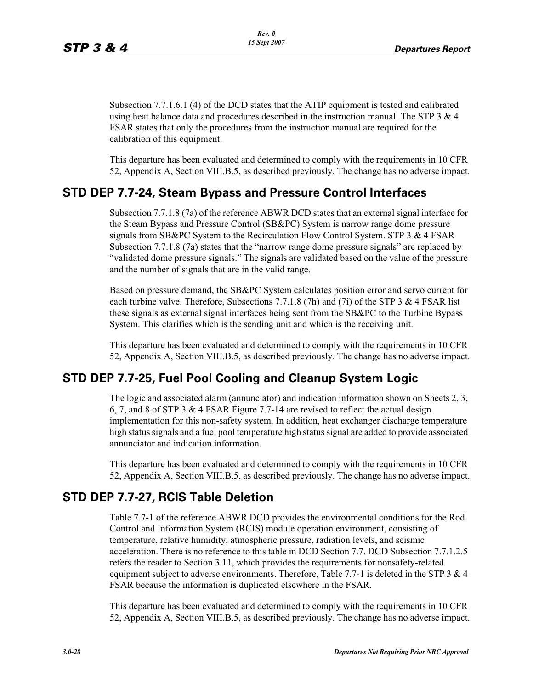Subsection 7.7.1.6.1 (4) of the DCD states that the ATIP equipment is tested and calibrated using heat balance data and procedures described in the instruction manual. The STP  $3 \& 4$ FSAR states that only the procedures from the instruction manual are required for the calibration of this equipment.

This departure has been evaluated and determined to comply with the requirements in 10 CFR 52, Appendix A, Section VIII.B.5, as described previously. The change has no adverse impact.

#### **STD DEP 7.7-24, Steam Bypass and Pressure Control Interfaces**

Subsection 7.7.1.8 (7a) of the reference ABWR DCD states that an external signal interface for the Steam Bypass and Pressure Control (SB&PC) System is narrow range dome pressure signals from SB&PC System to the Recirculation Flow Control System. STP 3  $\&$  4 FSAR Subsection 7.7.1.8 (7a) states that the "narrow range dome pressure signals" are replaced by "validated dome pressure signals." The signals are validated based on the value of the pressure and the number of signals that are in the valid range.

Based on pressure demand, the SB&PC System calculates position error and servo current for each turbine valve. Therefore, Subsections 7.7.1.8 (7h) and (7i) of the STP 3 & 4 FSAR list these signals as external signal interfaces being sent from the SB&PC to the Turbine Bypass System. This clarifies which is the sending unit and which is the receiving unit.

This departure has been evaluated and determined to comply with the requirements in 10 CFR 52, Appendix A, Section VIII.B.5, as described previously. The change has no adverse impact.

# **STD DEP 7.7-25, Fuel Pool Cooling and Cleanup System Logic**

The logic and associated alarm (annunciator) and indication information shown on Sheets 2, 3, 6, 7, and 8 of STP 3 & 4 FSAR Figure 7.7-14 are revised to reflect the actual design implementation for this non-safety system. In addition, heat exchanger discharge temperature high status signals and a fuel pool temperature high status signal are added to provide associated annunciator and indication information.

This departure has been evaluated and determined to comply with the requirements in 10 CFR 52, Appendix A, Section VIII.B.5, as described previously. The change has no adverse impact.

# **STD DEP 7.7-27, RCIS Table Deletion**

Table 7.7-1 of the reference ABWR DCD provides the environmental conditions for the Rod Control and Information System (RCIS) module operation environment, consisting of temperature, relative humidity, atmospheric pressure, radiation levels, and seismic acceleration. There is no reference to this table in DCD Section 7.7. DCD Subsection 7.7.1.2.5 refers the reader to Section 3.11, which provides the requirements for nonsafety-related equipment subject to adverse environments. Therefore, Table 7.7-1 is deleted in the STP 3  $\&$  4 FSAR because the information is duplicated elsewhere in the FSAR.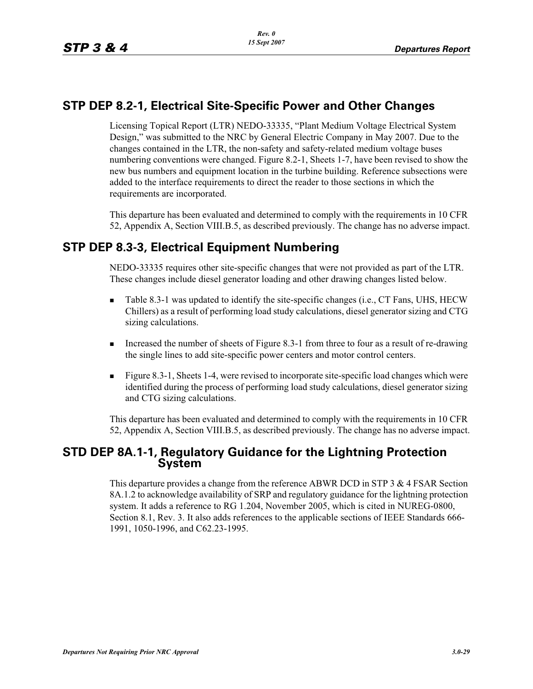#### **STP DEP 8.2-1, Electrical Site-Specific Power and Other Changes**

Licensing Topical Report (LTR) NEDO-33335, "Plant Medium Voltage Electrical System Design," was submitted to the NRC by General Electric Company in May 2007. Due to the changes contained in the LTR, the non-safety and safety-related medium voltage buses numbering conventions were changed. Figure 8.2-1, Sheets 1-7, have been revised to show the new bus numbers and equipment location in the turbine building. Reference subsections were added to the interface requirements to direct the reader to those sections in which the requirements are incorporated.

This departure has been evaluated and determined to comply with the requirements in 10 CFR 52, Appendix A, Section VIII.B.5, as described previously. The change has no adverse impact.

# **STP DEP 8.3-3, Electrical Equipment Numbering**

NEDO-33335 requires other site-specific changes that were not provided as part of the LTR. These changes include diesel generator loading and other drawing changes listed below.

- - Table 8.3-1 was updated to identify the site-specific changes (i.e., CT Fans, UHS, HECW Chillers) as a result of performing load study calculations, diesel generator sizing and CTG sizing calculations.
- - Increased the number of sheets of Figure 8.3-1 from three to four as a result of re-drawing the single lines to add site-specific power centers and motor control centers.
- - Figure 8.3-1, Sheets 1-4, were revised to incorporate site-specific load changes which were identified during the process of performing load study calculations, diesel generator sizing and CTG sizing calculations.

This departure has been evaluated and determined to comply with the requirements in 10 CFR 52, Appendix A, Section VIII.B.5, as described previously. The change has no adverse impact.

# **STD DEP 8A.1-1, Regulatory Guidance for the Lightning Protection System**

This departure provides a change from the reference ABWR DCD in STP 3 & 4 FSAR Section 8A.1.2 to acknowledge availability of SRP and regulatory guidance for the lightning protection system. It adds a reference to RG 1.204, November 2005, which is cited in NUREG-0800, Section 8.1, Rev. 3. It also adds references to the applicable sections of IEEE Standards 666- 1991, 1050-1996, and C62.23-1995.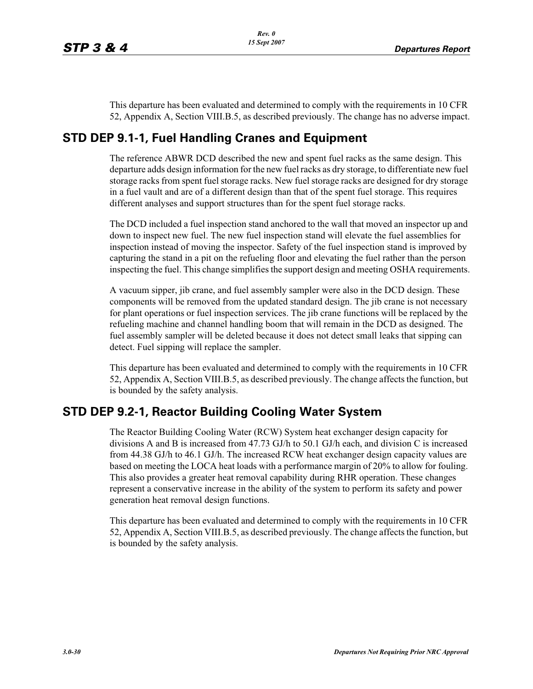This departure has been evaluated and determined to comply with the requirements in 10 CFR 52, Appendix A, Section VIII.B.5, as described previously. The change has no adverse impact.

#### **STD DEP 9.1-1, Fuel Handling Cranes and Equipment**

The reference ABWR DCD described the new and spent fuel racks as the same design. This departure adds design information for the new fuel racks as dry storage, to differentiate new fuel storage racks from spent fuel storage racks. New fuel storage racks are designed for dry storage in a fuel vault and are of a different design than that of the spent fuel storage. This requires different analyses and support structures than for the spent fuel storage racks.

The DCD included a fuel inspection stand anchored to the wall that moved an inspector up and down to inspect new fuel. The new fuel inspection stand will elevate the fuel assemblies for inspection instead of moving the inspector. Safety of the fuel inspection stand is improved by capturing the stand in a pit on the refueling floor and elevating the fuel rather than the person inspecting the fuel. This change simplifies the support design and meeting OSHA requirements.

A vacuum sipper, jib crane, and fuel assembly sampler were also in the DCD design. These components will be removed from the updated standard design. The jib crane is not necessary for plant operations or fuel inspection services. The jib crane functions will be replaced by the refueling machine and channel handling boom that will remain in the DCD as designed. The fuel assembly sampler will be deleted because it does not detect small leaks that sipping can detect. Fuel sipping will replace the sampler.

This departure has been evaluated and determined to comply with the requirements in 10 CFR 52, Appendix A, Section VIII.B.5, as described previously. The change affects the function, but is bounded by the safety analysis.

# **STD DEP 9.2-1, Reactor Building Cooling Water System**

The Reactor Building Cooling Water (RCW) System heat exchanger design capacity for divisions A and B is increased from 47.73 GJ/h to 50.1 GJ/h each, and division C is increased from 44.38 GJ/h to 46.1 GJ/h. The increased RCW heat exchanger design capacity values are based on meeting the LOCA heat loads with a performance margin of 20% to allow for fouling. This also provides a greater heat removal capability during RHR operation. These changes represent a conservative increase in the ability of the system to perform its safety and power generation heat removal design functions.

This departure has been evaluated and determined to comply with the requirements in 10 CFR 52, Appendix A, Section VIII.B.5, as described previously. The change affects the function, but is bounded by the safety analysis.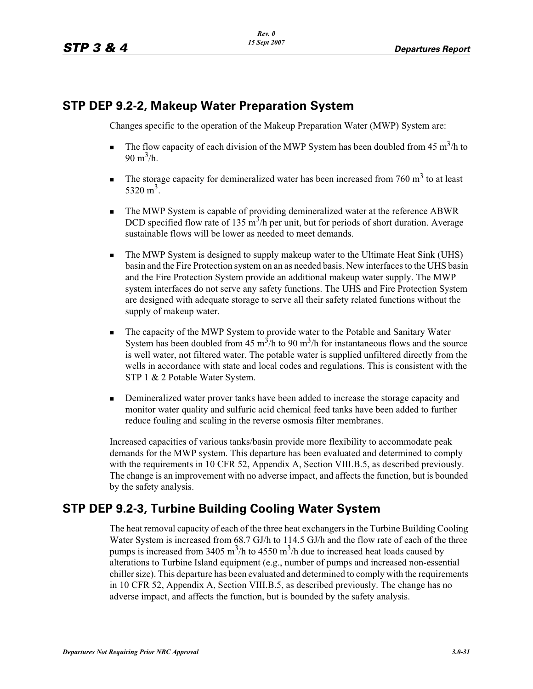#### **STP DEP 9.2-2, Makeup Water Preparation System**

Changes specific to the operation of the Makeup Preparation Water (MWP) System are:

- -The flow capacity of each division of the MWP System has been doubled from 45  $\text{m}^3/\text{h}$  to 90 m<sup>3</sup>/h.
- -The storage capacity for demineralized water has been increased from 760  $m<sup>3</sup>$  to at least  $5320 \text{ m}^3$ .
- - The MWP System is capable of providing demineralized water at the reference ABWR DCD specified flow rate of 135  $\text{m}^3$ /h per unit, but for periods of short duration. Average sustainable flows will be lower as needed to meet demands.
- - The MWP System is designed to supply makeup water to the Ultimate Heat Sink (UHS) basin and the Fire Protection system on an as needed basis. New interfaces to the UHS basin and the Fire Protection System provide an additional makeup water supply. The MWP system interfaces do not serve any safety functions. The UHS and Fire Protection System are designed with adequate storage to serve all their safety related functions without the supply of makeup water.
- - The capacity of the MWP System to provide water to the Potable and Sanitary Water System has been doubled from 45 m<sup>3</sup>/h to 90 m<sup>3</sup>/h for instantaneous flows and the source is well water, not filtered water. The potable water is supplied unfiltered directly from the wells in accordance with state and local codes and regulations. This is consistent with the STP 1 & 2 Potable Water System.
- - Demineralized water prover tanks have been added to increase the storage capacity and monitor water quality and sulfuric acid chemical feed tanks have been added to further reduce fouling and scaling in the reverse osmosis filter membranes.

Increased capacities of various tanks/basin provide more flexibility to accommodate peak demands for the MWP system. This departure has been evaluated and determined to comply with the requirements in 10 CFR 52, Appendix A, Section VIII.B.5, as described previously. The change is an improvement with no adverse impact, and affects the function, but is bounded by the safety analysis.

# **STP DEP 9.2-3, Turbine Building Cooling Water System**

The heat removal capacity of each of the three heat exchangers in the Turbine Building Cooling Water System is increased from 68.7 GJ/h to 114.5 GJ/h and the flow rate of each of the three pumps is increased from 3405 m<sup>3</sup>/h to 4550 m<sup>3</sup>/h due to increased heat loads caused by alterations to Turbine Island equipment (e.g., number of pumps and increased non-essential chiller size). This departure has been evaluated and determined to comply with the requirements in 10 CFR 52, Appendix A, Section VIII.B.5, as described previously. The change has no adverse impact, and affects the function, but is bounded by the safety analysis.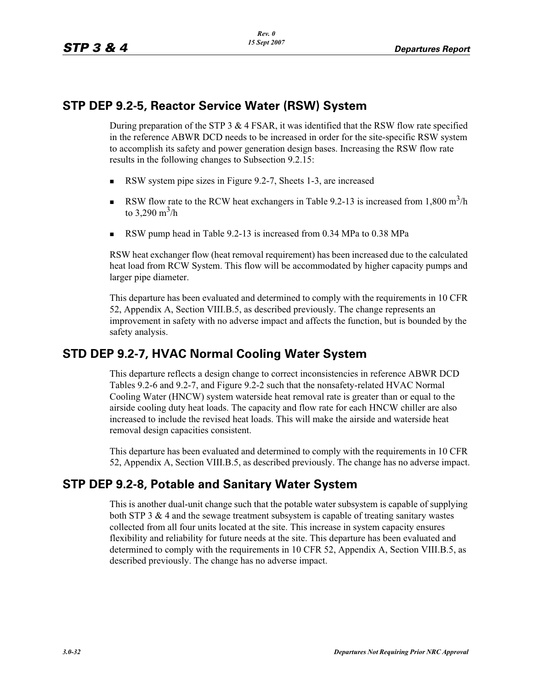#### **STP DEP 9.2-5, Reactor Service Water (RSW) System**

During preparation of the STP 3  $&$  4 FSAR, it was identified that the RSW flow rate specified in the reference ABWR DCD needs to be increased in order for the site-specific RSW system to accomplish its safety and power generation design bases. Increasing the RSW flow rate results in the following changes to Subsection 9.2.15:

- -RSW system pipe sizes in Figure 9.2-7, Sheets 1-3, are increased
- -RSW flow rate to the RCW heat exchangers in Table 9.2-13 is increased from  $1,800 \text{ m}^3/\text{h}$ to 3,290 m $^3$ /h
- -RSW pump head in Table 9.2-13 is increased from 0.34 MPa to 0.38 MPa

RSW heat exchanger flow (heat removal requirement) has been increased due to the calculated heat load from RCW System. This flow will be accommodated by higher capacity pumps and larger pipe diameter.

This departure has been evaluated and determined to comply with the requirements in 10 CFR 52, Appendix A, Section VIII.B.5, as described previously. The change represents an improvement in safety with no adverse impact and affects the function, but is bounded by the safety analysis.

# **STD DEP 9.2-7, HVAC Normal Cooling Water System**

This departure reflects a design change to correct inconsistencies in reference ABWR DCD Tables 9.2-6 and 9.2-7, and Figure 9.2-2 such that the nonsafety-related HVAC Normal Cooling Water (HNCW) system waterside heat removal rate is greater than or equal to the airside cooling duty heat loads. The capacity and flow rate for each HNCW chiller are also increased to include the revised heat loads. This will make the airside and waterside heat removal design capacities consistent.

This departure has been evaluated and determined to comply with the requirements in 10 CFR 52, Appendix A, Section VIII.B.5, as described previously. The change has no adverse impact.

# **STP DEP 9.2-8, Potable and Sanitary Water System**

This is another dual-unit change such that the potable water subsystem is capable of supplying both STP 3  $\&$  4 and the sewage treatment subsystem is capable of treating sanitary wastes collected from all four units located at the site. This increase in system capacity ensures flexibility and reliability for future needs at the site. This departure has been evaluated and determined to comply with the requirements in 10 CFR 52, Appendix A, Section VIII.B.5, as described previously. The change has no adverse impact.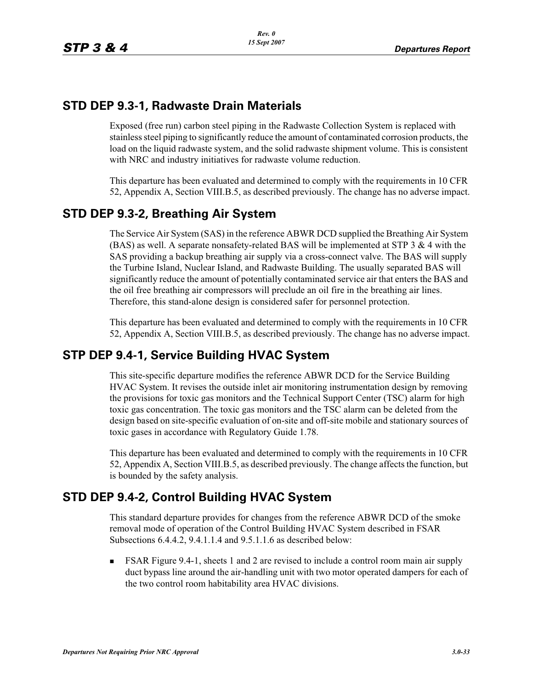#### **STD DEP 9.3-1, Radwaste Drain Materials**

Exposed (free run) carbon steel piping in the Radwaste Collection System is replaced with stainless steel piping to significantly reduce the amount of contaminated corrosion products, the load on the liquid radwaste system, and the solid radwaste shipment volume. This is consistent with NRC and industry initiatives for radwaste volume reduction.

This departure has been evaluated and determined to comply with the requirements in 10 CFR 52, Appendix A, Section VIII.B.5, as described previously. The change has no adverse impact.

# **STD DEP 9.3-2, Breathing Air System**

The Service Air System (SAS) in the reference ABWR DCD supplied the Breathing Air System (BAS) as well. A separate nonsafety-related BAS will be implemented at STP  $3 \& 4$  with the SAS providing a backup breathing air supply via a cross-connect valve. The BAS will supply the Turbine Island, Nuclear Island, and Radwaste Building. The usually separated BAS will significantly reduce the amount of potentially contaminated service air that enters the BAS and the oil free breathing air compressors will preclude an oil fire in the breathing air lines. Therefore, this stand-alone design is considered safer for personnel protection.

This departure has been evaluated and determined to comply with the requirements in 10 CFR 52, Appendix A, Section VIII.B.5, as described previously. The change has no adverse impact.

# **STP DEP 9.4-1, Service Building HVAC System**

This site-specific departure modifies the reference ABWR DCD for the Service Building HVAC System. It revises the outside inlet air monitoring instrumentation design by removing the provisions for toxic gas monitors and the Technical Support Center (TSC) alarm for high toxic gas concentration. The toxic gas monitors and the TSC alarm can be deleted from the design based on site-specific evaluation of on-site and off-site mobile and stationary sources of toxic gases in accordance with Regulatory Guide 1.78.

This departure has been evaluated and determined to comply with the requirements in 10 CFR 52, Appendix A, Section VIII.B.5, as described previously. The change affects the function, but is bounded by the safety analysis.

#### **STD DEP 9.4-2, Control Building HVAC System**

This standard departure provides for changes from the reference ABWR DCD of the smoke removal mode of operation of the Control Building HVAC System described in FSAR Subsections 6.4.4.2, 9.4.1.1.4 and 9.5.1.1.6 as described below:

- FSAR Figure 9.4-1, sheets 1 and 2 are revised to include a control room main air supply duct bypass line around the air-handling unit with two motor operated dampers for each of the two control room habitability area HVAC divisions.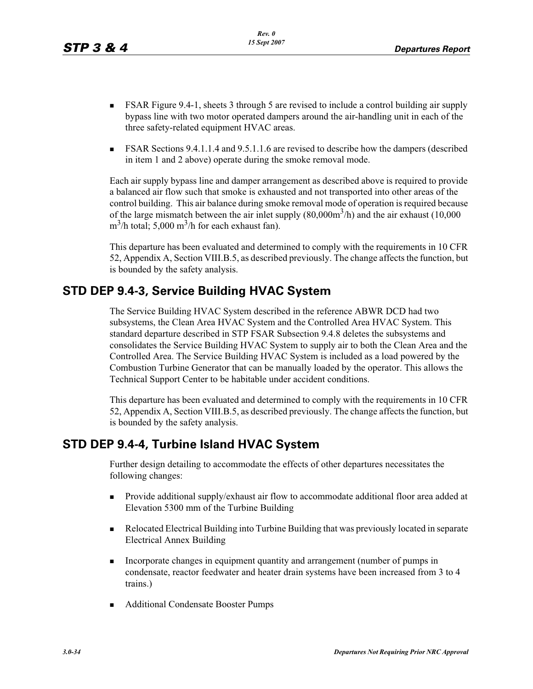- - FSAR Figure 9.4-1, sheets 3 through 5 are revised to include a control building air supply bypass line with two motor operated dampers around the air-handling unit in each of the three safety-related equipment HVAC areas.
- - FSAR Sections 9.4.1.1.4 and 9.5.1.1.6 are revised to describe how the dampers (described in item 1 and 2 above) operate during the smoke removal mode.

Each air supply bypass line and damper arrangement as described above is required to provide a balanced air flow such that smoke is exhausted and not transported into other areas of the control building. This air balance during smoke removal mode of operation is required because of the large mismatch between the air inlet supply  $(80,000m<sup>3</sup>/h)$  and the air exhaust  $(10,000$  $\text{m}^3$ /h total; 5,000 m<sup>3</sup>/h for each exhaust fan).

This departure has been evaluated and determined to comply with the requirements in 10 CFR 52, Appendix A, Section VIII.B.5, as described previously. The change affects the function, but is bounded by the safety analysis.

# **STD DEP 9.4-3, Service Building HVAC System**

The Service Building HVAC System described in the reference ABWR DCD had two subsystems, the Clean Area HVAC System and the Controlled Area HVAC System. This standard departure described in STP FSAR Subsection 9.4.8 deletes the subsystems and consolidates the Service Building HVAC System to supply air to both the Clean Area and the Controlled Area. The Service Building HVAC System is included as a load powered by the Combustion Turbine Generator that can be manually loaded by the operator. This allows the Technical Support Center to be habitable under accident conditions.

This departure has been evaluated and determined to comply with the requirements in 10 CFR 52, Appendix A, Section VIII.B.5, as described previously. The change affects the function, but is bounded by the safety analysis.

# **STD DEP 9.4-4, Turbine Island HVAC System**

Further design detailing to accommodate the effects of other departures necessitates the following changes:

- - Provide additional supply/exhaust air flow to accommodate additional floor area added at Elevation 5300 mm of the Turbine Building
- - Relocated Electrical Building into Turbine Building that was previously located in separate Electrical Annex Building
- - Incorporate changes in equipment quantity and arrangement (number of pumps in condensate, reactor feedwater and heater drain systems have been increased from 3 to 4 trains.)
- **Additional Condensate Booster Pumps**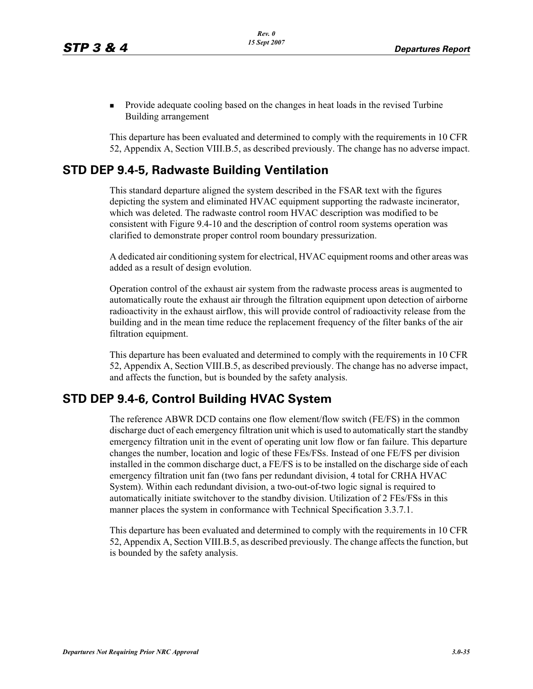- Provide adequate cooling based on the changes in heat loads in the revised Turbine Building arrangement

This departure has been evaluated and determined to comply with the requirements in 10 CFR 52, Appendix A, Section VIII.B.5, as described previously. The change has no adverse impact.

#### **STD DEP 9.4-5, Radwaste Building Ventilation**

This standard departure aligned the system described in the FSAR text with the figures depicting the system and eliminated HVAC equipment supporting the radwaste incinerator, which was deleted. The radwaste control room HVAC description was modified to be consistent with Figure 9.4-10 and the description of control room systems operation was clarified to demonstrate proper control room boundary pressurization.

A dedicated air conditioning system for electrical, HVAC equipment rooms and other areas was added as a result of design evolution.

Operation control of the exhaust air system from the radwaste process areas is augmented to automatically route the exhaust air through the filtration equipment upon detection of airborne radioactivity in the exhaust airflow, this will provide control of radioactivity release from the building and in the mean time reduce the replacement frequency of the filter banks of the air filtration equipment.

This departure has been evaluated and determined to comply with the requirements in 10 CFR 52, Appendix A, Section VIII.B.5, as described previously. The change has no adverse impact, and affects the function, but is bounded by the safety analysis.

# **STD DEP 9.4-6, Control Building HVAC System**

The reference ABWR DCD contains one flow element/flow switch (FE/FS) in the common discharge duct of each emergency filtration unit which is used to automatically start the standby emergency filtration unit in the event of operating unit low flow or fan failure. This departure changes the number, location and logic of these FEs/FSs. Instead of one FE/FS per division installed in the common discharge duct, a FE/FS is to be installed on the discharge side of each emergency filtration unit fan (two fans per redundant division, 4 total for CRHA HVAC System). Within each redundant division, a two-out-of-two logic signal is required to automatically initiate switchover to the standby division. Utilization of 2 FEs/FSs in this manner places the system in conformance with Technical Specification 3.3.7.1.

This departure has been evaluated and determined to comply with the requirements in 10 CFR 52, Appendix A, Section VIII.B.5, as described previously. The change affects the function, but is bounded by the safety analysis.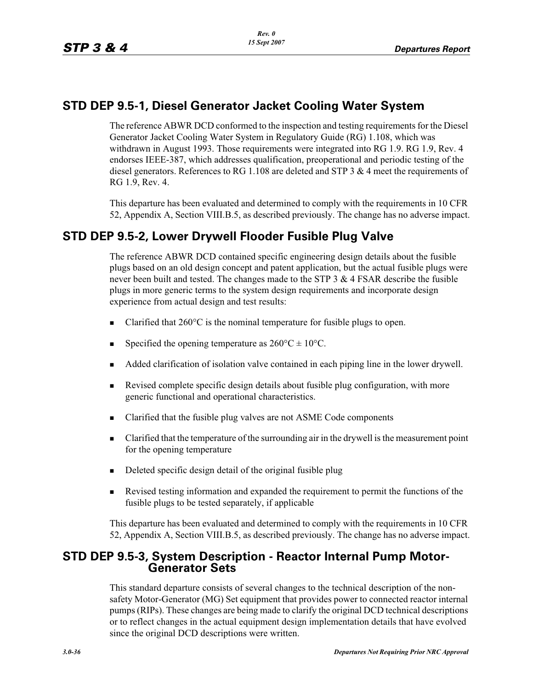#### **STD DEP 9.5-1, Diesel Generator Jacket Cooling Water System**

The reference ABWR DCD conformed to the inspection and testing requirements for the Diesel Generator Jacket Cooling Water System in Regulatory Guide (RG) 1.108, which was withdrawn in August 1993. Those requirements were integrated into RG 1.9. RG 1.9, Rev. 4 endorses IEEE-387, which addresses qualification, preoperational and periodic testing of the diesel generators. References to RG 1.108 are deleted and STP 3 & 4 meet the requirements of RG 1.9, Rev. 4.

This departure has been evaluated and determined to comply with the requirements in 10 CFR 52, Appendix A, Section VIII.B.5, as described previously. The change has no adverse impact.

# **STD DEP 9.5-2, Lower Drywell Flooder Fusible Plug Valve**

The reference ABWR DCD contained specific engineering design details about the fusible plugs based on an old design concept and patent application, but the actual fusible plugs were never been built and tested. The changes made to the STP  $3 \& 4$  FSAR describe the fusible plugs in more generic terms to the system design requirements and incorporate design experience from actual design and test results:

- -Clarified that 260°C is the nominal temperature for fusible plugs to open.
- -Specified the opening temperature as  $260^{\circ}$ C  $\pm$  10<sup>o</sup>C.
- -Added clarification of isolation valve contained in each piping line in the lower drywell.
- - Revised complete specific design details about fusible plug configuration, with more generic functional and operational characteristics.
- -Clarified that the fusible plug valves are not ASME Code components
- - Clarified that the temperature of the surrounding air in the drywell is the measurement point for the opening temperature
- -Deleted specific design detail of the original fusible plug
- - Revised testing information and expanded the requirement to permit the functions of the fusible plugs to be tested separately, if applicable

This departure has been evaluated and determined to comply with the requirements in 10 CFR 52, Appendix A, Section VIII.B.5, as described previously. The change has no adverse impact.

# **STD DEP 9.5-3, System Description - Reactor Internal Pump Motor- Generator Sets**

This standard departure consists of several changes to the technical description of the nonsafety Motor-Generator (MG) Set equipment that provides power to connected reactor internal pumps (RIPs). These changes are being made to clarify the original DCD technical descriptions or to reflect changes in the actual equipment design implementation details that have evolved since the original DCD descriptions were written.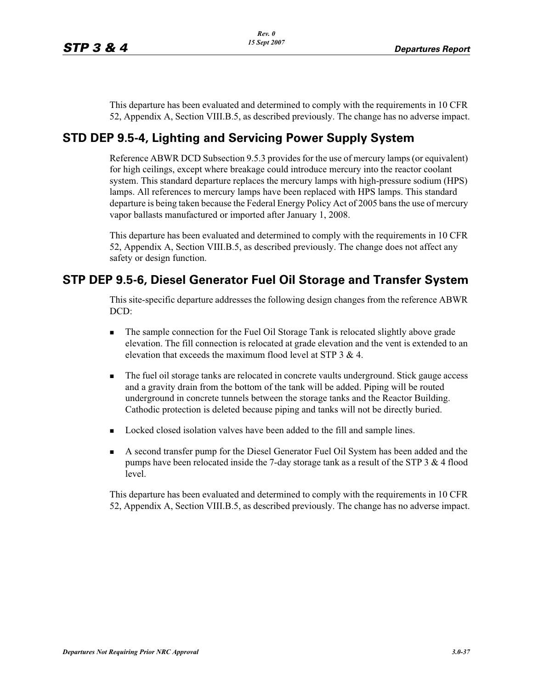This departure has been evaluated and determined to comply with the requirements in 10 CFR 52, Appendix A, Section VIII.B.5, as described previously. The change has no adverse impact.

# **STD DEP 9.5-4, Lighting and Servicing Power Supply System**

Reference ABWR DCD Subsection 9.5.3 provides for the use of mercury lamps (or equivalent) for high ceilings, except where breakage could introduce mercury into the reactor coolant system. This standard departure replaces the mercury lamps with high-pressure sodium (HPS) lamps. All references to mercury lamps have been replaced with HPS lamps. This standard departure is being taken because the Federal Energy Policy Act of 2005 bans the use of mercury vapor ballasts manufactured or imported after January 1, 2008.

This departure has been evaluated and determined to comply with the requirements in 10 CFR 52, Appendix A, Section VIII.B.5, as described previously. The change does not affect any safety or design function.

#### **STP DEP 9.5-6, Diesel Generator Fuel Oil Storage and Transfer System**

This site-specific departure addresses the following design changes from the reference ABWR DCD:

- - The sample connection for the Fuel Oil Storage Tank is relocated slightly above grade elevation. The fill connection is relocated at grade elevation and the vent is extended to an elevation that exceeds the maximum flood level at STP 3 & 4.
- - The fuel oil storage tanks are relocated in concrete vaults underground. Stick gauge access and a gravity drain from the bottom of the tank will be added. Piping will be routed underground in concrete tunnels between the storage tanks and the Reactor Building. Cathodic protection is deleted because piping and tanks will not be directly buried.
- **Locked closed isolation valves have been added to the fill and sample lines.**
- - A second transfer pump for the Diesel Generator Fuel Oil System has been added and the pumps have been relocated inside the 7-day storage tank as a result of the STP  $3 \& 4$  flood level.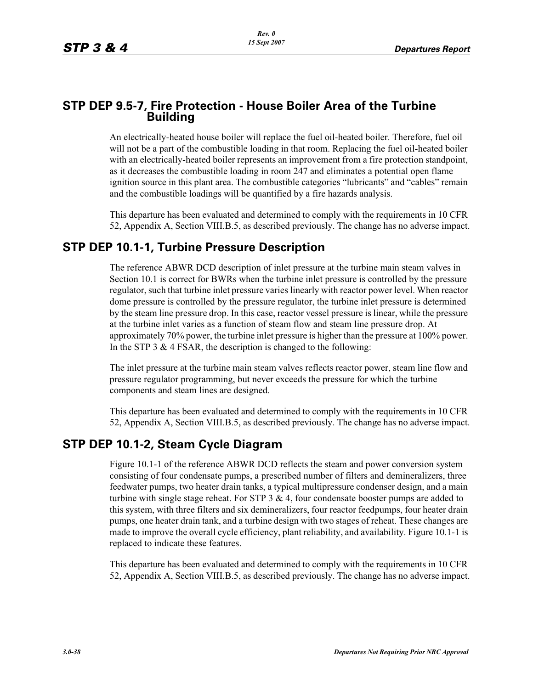#### **STP DEP 9.5-7, Fire Protection - House Boiler Area of the Turbine Building**

An electrically-heated house boiler will replace the fuel oil-heated boiler. Therefore, fuel oil will not be a part of the combustible loading in that room. Replacing the fuel oil-heated boiler with an electrically-heated boiler represents an improvement from a fire protection standpoint, as it decreases the combustible loading in room 247 and eliminates a potential open flame ignition source in this plant area. The combustible categories "lubricants" and "cables" remain and the combustible loadings will be quantified by a fire hazards analysis.

This departure has been evaluated and determined to comply with the requirements in 10 CFR 52, Appendix A, Section VIII.B.5, as described previously. The change has no adverse impact.

#### **STP DEP 10.1-1, Turbine Pressure Description**

The reference ABWR DCD description of inlet pressure at the turbine main steam valves in Section 10.1 is correct for BWRs when the turbine inlet pressure is controlled by the pressure regulator, such that turbine inlet pressure varies linearly with reactor power level. When reactor dome pressure is controlled by the pressure regulator, the turbine inlet pressure is determined by the steam line pressure drop. In this case, reactor vessel pressure is linear, while the pressure at the turbine inlet varies as a function of steam flow and steam line pressure drop. At approximately 70% power, the turbine inlet pressure is higher than the pressure at 100% power. In the STP 3  $\&$  4 FSAR, the description is changed to the following:

The inlet pressure at the turbine main steam valves reflects reactor power, steam line flow and pressure regulator programming, but never exceeds the pressure for which the turbine components and steam lines are designed.

This departure has been evaluated and determined to comply with the requirements in 10 CFR 52, Appendix A, Section VIII.B.5, as described previously. The change has no adverse impact.

#### **STP DEP 10.1-2, Steam Cycle Diagram**

Figure 10.1-1 of the reference ABWR DCD reflects the steam and power conversion system consisting of four condensate pumps, a prescribed number of filters and demineralizers, three feedwater pumps, two heater drain tanks, a typical multipressure condenser design, and a main turbine with single stage reheat. For STP  $3 \& 4$ , four condensate booster pumps are added to this system, with three filters and six demineralizers, four reactor feedpumps, four heater drain pumps, one heater drain tank, and a turbine design with two stages of reheat. These changes are made to improve the overall cycle efficiency, plant reliability, and availability. Figure 10.1-1 is replaced to indicate these features.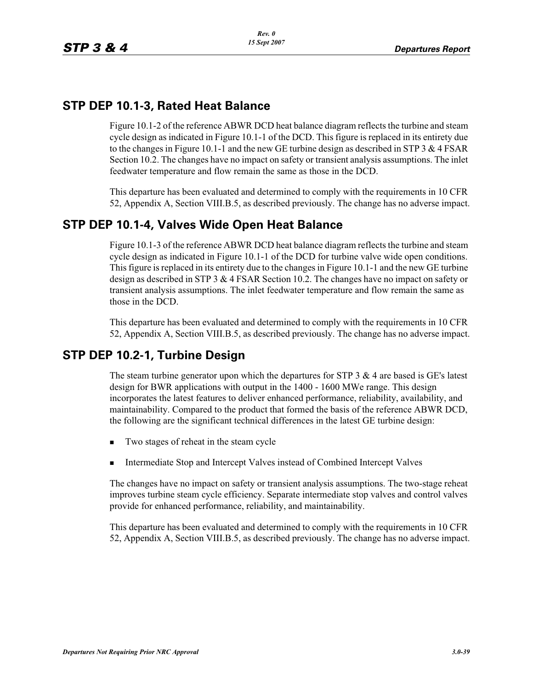#### **STP DEP 10.1-3, Rated Heat Balance**

Figure 10.1-2 of the reference ABWR DCD heat balance diagram reflects the turbine and steam cycle design as indicated in Figure 10.1-1 of the DCD. This figure is replaced in its entirety due to the changes in Figure 10.1-1 and the new GE turbine design as described in STP 3  $\&$  4 FSAR Section 10.2. The changes have no impact on safety or transient analysis assumptions. The inlet feedwater temperature and flow remain the same as those in the DCD.

This departure has been evaluated and determined to comply with the requirements in 10 CFR 52, Appendix A, Section VIII.B.5, as described previously. The change has no adverse impact.

#### **STP DEP 10.1-4, Valves Wide Open Heat Balance**

Figure 10.1-3 of the reference ABWR DCD heat balance diagram reflects the turbine and steam cycle design as indicated in Figure 10.1-1 of the DCD for turbine valve wide open conditions. This figure is replaced in its entirety due to the changes in Figure 10.1-1 and the new GE turbine design as described in STP 3 & 4 FSAR Section 10.2. The changes have no impact on safety or transient analysis assumptions. The inlet feedwater temperature and flow remain the same as those in the DCD.

This departure has been evaluated and determined to comply with the requirements in 10 CFR 52, Appendix A, Section VIII.B.5, as described previously. The change has no adverse impact.

# **STP DEP 10.2-1, Turbine Design**

The steam turbine generator upon which the departures for STP  $3 \& 4$  are based is GE's latest design for BWR applications with output in the 1400 - 1600 MWe range. This design incorporates the latest features to deliver enhanced performance, reliability, availability, and maintainability. Compared to the product that formed the basis of the reference ABWR DCD, the following are the significant technical differences in the latest GE turbine design:

- -Two stages of reheat in the steam cycle
- -Intermediate Stop and Intercept Valves instead of Combined Intercept Valves

The changes have no impact on safety or transient analysis assumptions. The two-stage reheat improves turbine steam cycle efficiency. Separate intermediate stop valves and control valves provide for enhanced performance, reliability, and maintainability.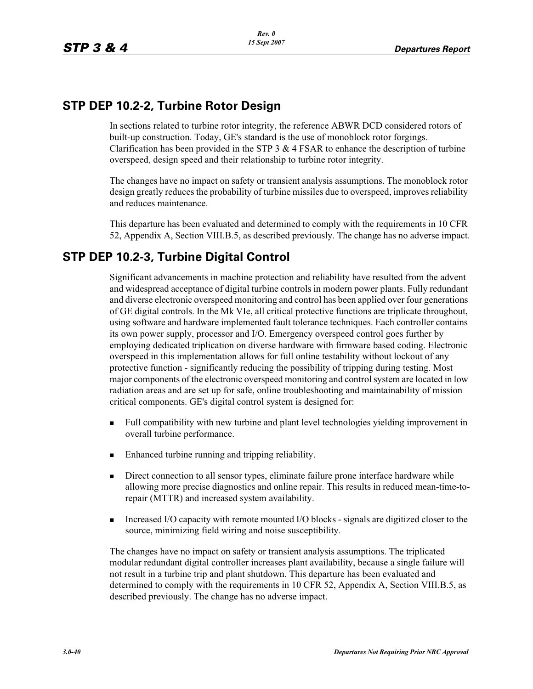### **STP DEP 10.2-2, Turbine Rotor Design**

In sections related to turbine rotor integrity, the reference ABWR DCD considered rotors of built-up construction. Today, GE's standard is the use of monoblock rotor forgings. Clarification has been provided in the STP 3  $&$  4 FSAR to enhance the description of turbine overspeed, design speed and their relationship to turbine rotor integrity.

The changes have no impact on safety or transient analysis assumptions. The monoblock rotor design greatly reduces the probability of turbine missiles due to overspeed, improves reliability and reduces maintenance.

This departure has been evaluated and determined to comply with the requirements in 10 CFR 52, Appendix A, Section VIII.B.5, as described previously. The change has no adverse impact.

# **STP DEP 10.2-3, Turbine Digital Control**

Significant advancements in machine protection and reliability have resulted from the advent and widespread acceptance of digital turbine controls in modern power plants. Fully redundant and diverse electronic overspeed monitoring and control has been applied over four generations of GE digital controls. In the Mk VIe, all critical protective functions are triplicate throughout, using software and hardware implemented fault tolerance techniques. Each controller contains its own power supply, processor and I/O. Emergency overspeed control goes further by employing dedicated triplication on diverse hardware with firmware based coding. Electronic overspeed in this implementation allows for full online testability without lockout of any protective function - significantly reducing the possibility of tripping during testing. Most major components of the electronic overspeed monitoring and control system are located in low radiation areas and are set up for safe, online troubleshooting and maintainability of mission critical components. GE's digital control system is designed for:

- - Full compatibility with new turbine and plant level technologies yielding improvement in overall turbine performance.
- -Enhanced turbine running and tripping reliability.
- - Direct connection to all sensor types, eliminate failure prone interface hardware while allowing more precise diagnostics and online repair. This results in reduced mean-time-torepair (MTTR) and increased system availability.
- - Increased I/O capacity with remote mounted I/O blocks - signals are digitized closer to the source, minimizing field wiring and noise susceptibility.

The changes have no impact on safety or transient analysis assumptions. The triplicated modular redundant digital controller increases plant availability, because a single failure will not result in a turbine trip and plant shutdown. This departure has been evaluated and determined to comply with the requirements in 10 CFR 52, Appendix A, Section VIII.B.5, as described previously. The change has no adverse impact.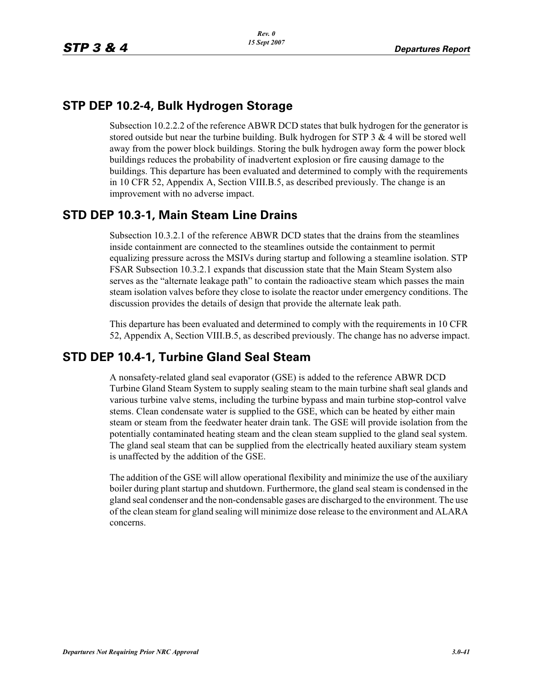### **STP DEP 10.2-4, Bulk Hydrogen Storage**

Subsection 10.2.2.2 of the reference ABWR DCD states that bulk hydrogen for the generator is stored outside but near the turbine building. Bulk hydrogen for STP  $3 \& 4$  will be stored well away from the power block buildings. Storing the bulk hydrogen away form the power block buildings reduces the probability of inadvertent explosion or fire causing damage to the buildings. This departure has been evaluated and determined to comply with the requirements in 10 CFR 52, Appendix A, Section VIII.B.5, as described previously. The change is an improvement with no adverse impact.

# **STD DEP 10.3-1, Main Steam Line Drains**

Subsection 10.3.2.1 of the reference ABWR DCD states that the drains from the steamlines inside containment are connected to the steamlines outside the containment to permit equalizing pressure across the MSIVs during startup and following a steamline isolation. STP FSAR Subsection 10.3.2.1 expands that discussion state that the Main Steam System also serves as the "alternate leakage path" to contain the radioactive steam which passes the main steam isolation valves before they close to isolate the reactor under emergency conditions. The discussion provides the details of design that provide the alternate leak path.

This departure has been evaluated and determined to comply with the requirements in 10 CFR 52, Appendix A, Section VIII.B.5, as described previously. The change has no adverse impact.

# **STD DEP 10.4-1, Turbine Gland Seal Steam**

A nonsafety-related gland seal evaporator (GSE) is added to the reference ABWR DCD Turbine Gland Steam System to supply sealing steam to the main turbine shaft seal glands and various turbine valve stems, including the turbine bypass and main turbine stop-control valve stems. Clean condensate water is supplied to the GSE, which can be heated by either main steam or steam from the feedwater heater drain tank. The GSE will provide isolation from the potentially contaminated heating steam and the clean steam supplied to the gland seal system. The gland seal steam that can be supplied from the electrically heated auxiliary steam system is unaffected by the addition of the GSE.

The addition of the GSE will allow operational flexibility and minimize the use of the auxiliary boiler during plant startup and shutdown. Furthermore, the gland seal steam is condensed in the gland seal condenser and the non-condensable gases are discharged to the environment. The use of the clean steam for gland sealing will minimize dose release to the environment and ALARA concerns.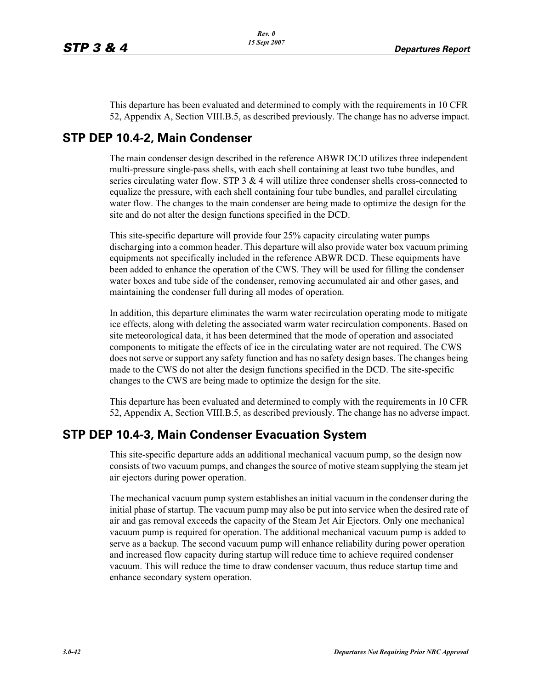This departure has been evaluated and determined to comply with the requirements in 10 CFR 52, Appendix A, Section VIII.B.5, as described previously. The change has no adverse impact.

#### **STP DEP 10.4-2, Main Condenser**

The main condenser design described in the reference ABWR DCD utilizes three independent multi-pressure single-pass shells, with each shell containing at least two tube bundles, and series circulating water flow. STP  $3 \& 4$  will utilize three condenser shells cross-connected to equalize the pressure, with each shell containing four tube bundles, and parallel circulating water flow. The changes to the main condenser are being made to optimize the design for the site and do not alter the design functions specified in the DCD.

This site-specific departure will provide four 25% capacity circulating water pumps discharging into a common header. This departure will also provide water box vacuum priming equipments not specifically included in the reference ABWR DCD. These equipments have been added to enhance the operation of the CWS. They will be used for filling the condenser water boxes and tube side of the condenser, removing accumulated air and other gases, and maintaining the condenser full during all modes of operation.

In addition, this departure eliminates the warm water recirculation operating mode to mitigate ice effects, along with deleting the associated warm water recirculation components. Based on site meteorological data, it has been determined that the mode of operation and associated components to mitigate the effects of ice in the circulating water are not required. The CWS does not serve or support any safety function and has no safety design bases. The changes being made to the CWS do not alter the design functions specified in the DCD. The site-specific changes to the CWS are being made to optimize the design for the site.

This departure has been evaluated and determined to comply with the requirements in 10 CFR 52, Appendix A, Section VIII.B.5, as described previously. The change has no adverse impact.

#### **STP DEP 10.4-3, Main Condenser Evacuation System**

This site-specific departure adds an additional mechanical vacuum pump, so the design now consists of two vacuum pumps, and changes the source of motive steam supplying the steam jet air ejectors during power operation.

The mechanical vacuum pump system establishes an initial vacuum in the condenser during the initial phase of startup. The vacuum pump may also be put into service when the desired rate of air and gas removal exceeds the capacity of the Steam Jet Air Ejectors. Only one mechanical vacuum pump is required for operation. The additional mechanical vacuum pump is added to serve as a backup. The second vacuum pump will enhance reliability during power operation and increased flow capacity during startup will reduce time to achieve required condenser vacuum. This will reduce the time to draw condenser vacuum, thus reduce startup time and enhance secondary system operation.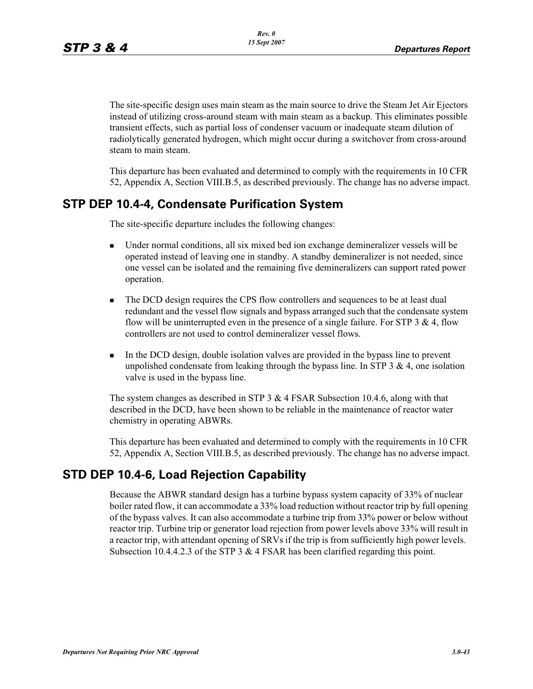The site-specific design uses main steam as the main source to drive the Steam Jet Air Ejectors instead of utilizing cross-around steam with main steam as a backup. This eliminates possible transient effects, such as partial loss of condenser vacuum or inadequate steam dilution of radiolytically generated hydrogen, which might occur during a switchover from cross-around steam to main steam.

This departure has been evaluated and determined to comply with the requirements in 10 CFR 52, Appendix A, Section VIII.B.5, as described previously. The change has no adverse impact.

# **STP DEP 10.4-4, Condensate Purification System**

The site-specific departure includes the following changes:

- - Under normal conditions, all six mixed bed ion exchange demineralizer vessels will be operated instead of leaving one in standby. A standby demineralizer is not needed, since one vessel can be isolated and the remaining five demineralizers can support rated power operation.
- - The DCD design requires the CPS flow controllers and sequences to be at least dual redundant and the vessel flow signals and bypass arranged such that the condensate system flow will be uninterrupted even in the presence of a single failure. For STP  $3 \& 4$ , flow controllers are not used to control demineralizer vessel flows.
- - In the DCD design, double isolation valves are provided in the bypass line to prevent unpolished condensate from leaking through the bypass line. In STP  $3 \& 4$ , one isolation valve is used in the bypass line.

The system changes as described in STP  $3 \& 4$  FSAR Subsection 10.4.6, along with that described in the DCD, have been shown to be reliable in the maintenance of reactor water chemistry in operating ABWRs.

This departure has been evaluated and determined to comply with the requirements in 10 CFR 52, Appendix A, Section VIII.B.5, as described previously. The change has no adverse impact.

# **STD DEP 10.4-6, Load Rejection Capability**

Because the ABWR standard design has a turbine bypass system capacity of 33% of nuclear boiler rated flow, it can accommodate a 33% load reduction without reactor trip by full opening of the bypass valves. It can also accommodate a turbine trip from 33% power or below without reactor trip. Turbine trip or generator load rejection from power levels above 33% will result in a reactor trip, with attendant opening of SRVs if the trip is from sufficiently high power levels. Subsection 10.4.4.2.3 of the STP 3 & 4 FSAR has been clarified regarding this point.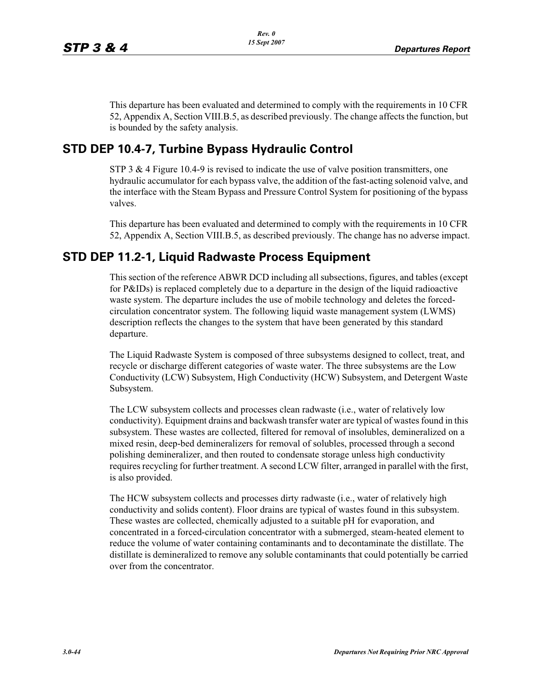This departure has been evaluated and determined to comply with the requirements in 10 CFR 52, Appendix A, Section VIII.B.5, as described previously. The change affects the function, but is bounded by the safety analysis.

#### **STD DEP 10.4-7, Turbine Bypass Hydraulic Control**

STP 3  $\&$  4 Figure 10.4-9 is revised to indicate the use of valve position transmitters, one hydraulic accumulator for each bypass valve, the addition of the fast-acting solenoid valve, and the interface with the Steam Bypass and Pressure Control System for positioning of the bypass valves.

This departure has been evaluated and determined to comply with the requirements in 10 CFR 52, Appendix A, Section VIII.B.5, as described previously. The change has no adverse impact.

#### **STD DEP 11.2-1, Liquid Radwaste Process Equipment**

This section of the reference ABWR DCD including all subsections, figures, and tables (except for P&IDs) is replaced completely due to a departure in the design of the liquid radioactive waste system. The departure includes the use of mobile technology and deletes the forcedcirculation concentrator system. The following liquid waste management system (LWMS) description reflects the changes to the system that have been generated by this standard departure.

The Liquid Radwaste System is composed of three subsystems designed to collect, treat, and recycle or discharge different categories of waste water. The three subsystems are the Low Conductivity (LCW) Subsystem, High Conductivity (HCW) Subsystem, and Detergent Waste Subsystem.

The LCW subsystem collects and processes clean radwaste (i.e., water of relatively low conductivity). Equipment drains and backwash transfer water are typical of wastes found in this subsystem. These wastes are collected, filtered for removal of insolubles, demineralized on a mixed resin, deep-bed demineralizers for removal of solubles, processed through a second polishing demineralizer, and then routed to condensate storage unless high conductivity requires recycling for further treatment. A second LCW filter, arranged in parallel with the first, is also provided.

The HCW subsystem collects and processes dirty radwaste (i.e., water of relatively high conductivity and solids content). Floor drains are typical of wastes found in this subsystem. These wastes are collected, chemically adjusted to a suitable pH for evaporation, and concentrated in a forced-circulation concentrator with a submerged, steam-heated element to reduce the volume of water containing contaminants and to decontaminate the distillate. The distillate is demineralized to remove any soluble contaminants that could potentially be carried over from the concentrator.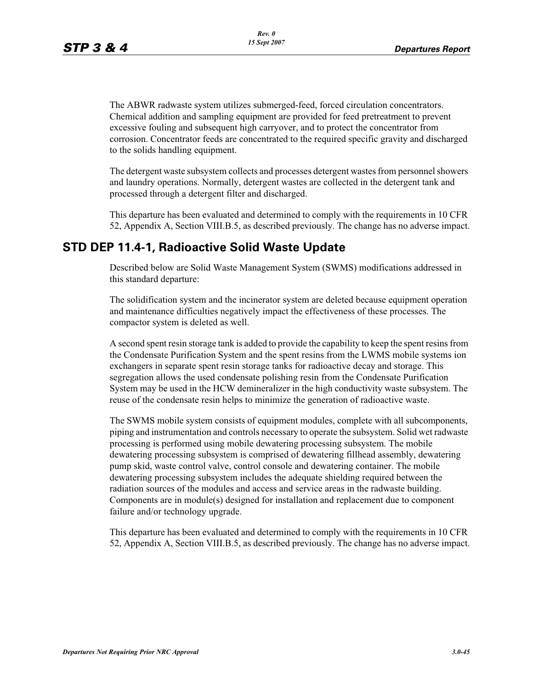The ABWR radwaste system utilizes submerged-feed, forced circulation concentrators. Chemical addition and sampling equipment are provided for feed pretreatment to prevent excessive fouling and subsequent high carryover, and to protect the concentrator from corrosion. Concentrator feeds are concentrated to the required specific gravity and discharged to the solids handling equipment.

The detergent waste subsystem collects and processes detergent wastes from personnel showers and laundry operations. Normally, detergent wastes are collected in the detergent tank and processed through a detergent filter and discharged.

This departure has been evaluated and determined to comply with the requirements in 10 CFR 52, Appendix A, Section VIII.B.5, as described previously. The change has no adverse impact.

# **STD DEP 11.4-1, Radioactive Solid Waste Update**

Described below are Solid Waste Management System (SWMS) modifications addressed in this standard departure:

The solidification system and the incinerator system are deleted because equipment operation and maintenance difficulties negatively impact the effectiveness of these processes. The compactor system is deleted as well.

A second spent resin storage tank is added to provide the capability to keep the spent resins from the Condensate Purification System and the spent resins from the LWMS mobile systems ion exchangers in separate spent resin storage tanks for radioactive decay and storage. This segregation allows the used condensate polishing resin from the Condensate Purification System may be used in the HCW demineralizer in the high conductivity waste subsystem. The reuse of the condensate resin helps to minimize the generation of radioactive waste.

The SWMS mobile system consists of equipment modules, complete with all subcomponents, piping and instrumentation and controls necessary to operate the subsystem. Solid wet radwaste processing is performed using mobile dewatering processing subsystem. The mobile dewatering processing subsystem is comprised of dewatering fillhead assembly, dewatering pump skid, waste control valve, control console and dewatering container. The mobile dewatering processing subsystem includes the adequate shielding required between the radiation sources of the modules and access and service areas in the radwaste building. Components are in module(s) designed for installation and replacement due to component failure and/or technology upgrade.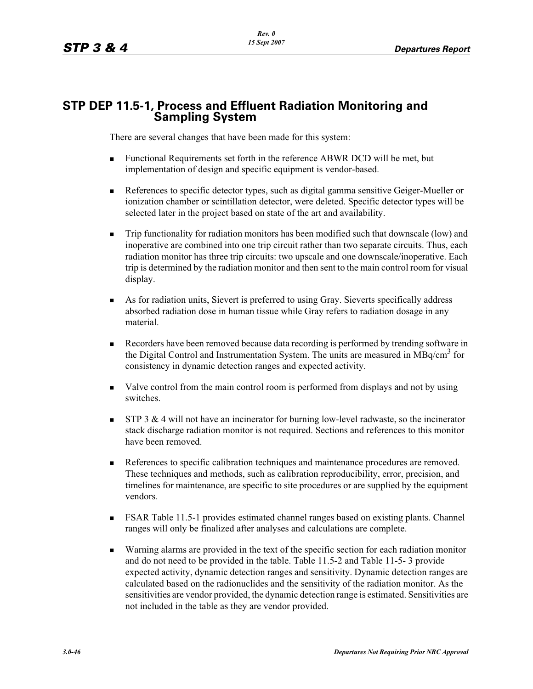# **STP DEP 11.5-1, Process and Effluent Radiation Monitoring and Sampling System**

There are several changes that have been made for this system:

- - Functional Requirements set forth in the reference ABWR DCD will be met, but implementation of design and specific equipment is vendor-based.
- - References to specific detector types, such as digital gamma sensitive Geiger-Mueller or ionization chamber or scintillation detector, were deleted. Specific detector types will be selected later in the project based on state of the art and availability.
- - Trip functionality for radiation monitors has been modified such that downscale (low) and inoperative are combined into one trip circuit rather than two separate circuits. Thus, each radiation monitor has three trip circuits: two upscale and one downscale/inoperative. Each trip is determined by the radiation monitor and then sent to the main control room for visual display.
- As for radiation units, Sievert is preferred to using Gray. Sieverts specifically address absorbed radiation dose in human tissue while Gray refers to radiation dosage in any material.
- - Recorders have been removed because data recording is performed by trending software in the Digital Control and Instrumentation System. The units are measured in MBq/cm<sup>3</sup> for consistency in dynamic detection ranges and expected activity.
- - Valve control from the main control room is performed from displays and not by using switches.
- - STP 3 & 4 will not have an incinerator for burning low-level radwaste, so the incinerator stack discharge radiation monitor is not required. Sections and references to this monitor have been removed.
- - References to specific calibration techniques and maintenance procedures are removed. These techniques and methods, such as calibration reproducibility, error, precision, and timelines for maintenance, are specific to site procedures or are supplied by the equipment vendors.
- - FSAR Table 11.5-1 provides estimated channel ranges based on existing plants. Channel ranges will only be finalized after analyses and calculations are complete.
- - Warning alarms are provided in the text of the specific section for each radiation monitor and do not need to be provided in the table. Table 11.5-2 and Table 11-5- 3 provide expected activity, dynamic detection ranges and sensitivity. Dynamic detection ranges are calculated based on the radionuclides and the sensitivity of the radiation monitor. As the sensitivities are vendor provided, the dynamic detection range is estimated. Sensitivities are not included in the table as they are vendor provided.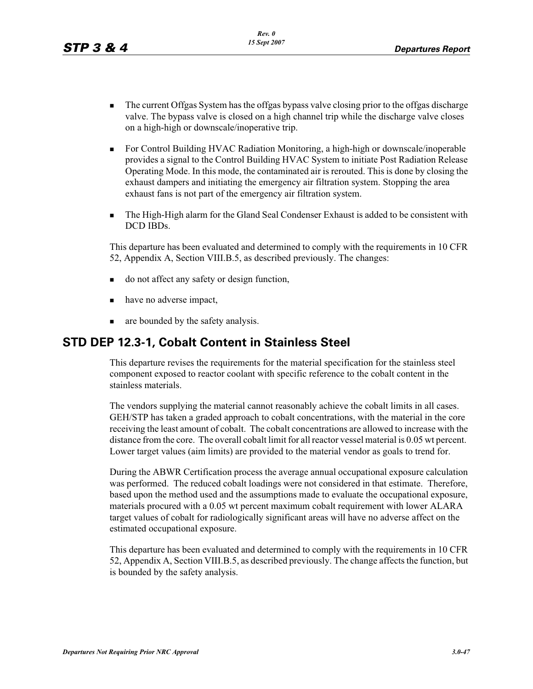- - The current Offgas System has the offgas bypass valve closing prior to the offgas discharge valve. The bypass valve is closed on a high channel trip while the discharge valve closes on a high-high or downscale/inoperative trip.
- - For Control Building HVAC Radiation Monitoring, a high-high or downscale/inoperable provides a signal to the Control Building HVAC System to initiate Post Radiation Release Operating Mode. In this mode, the contaminated air is rerouted. This is done by closing the exhaust dampers and initiating the emergency air filtration system. Stopping the area exhaust fans is not part of the emergency air filtration system.
- - The High-High alarm for the Gland Seal Condenser Exhaust is added to be consistent with DCD IBDs.

This departure has been evaluated and determined to comply with the requirements in 10 CFR 52, Appendix A, Section VIII.B.5, as described previously. The changes:

- do not affect any safety or design function,
- have no adverse impact,
- are bounded by the safety analysis.

#### **STD DEP 12.3-1, Cobalt Content in Stainless Steel**

This departure revises the requirements for the material specification for the stainless steel component exposed to reactor coolant with specific reference to the cobalt content in the stainless materials.

The vendors supplying the material cannot reasonably achieve the cobalt limits in all cases. GEH/STP has taken a graded approach to cobalt concentrations, with the material in the core receiving the least amount of cobalt. The cobalt concentrations are allowed to increase with the distance from the core. The overall cobalt limit for all reactor vessel material is 0.05 wt percent. Lower target values (aim limits) are provided to the material vendor as goals to trend for.

During the ABWR Certification process the average annual occupational exposure calculation was performed. The reduced cobalt loadings were not considered in that estimate. Therefore, based upon the method used and the assumptions made to evaluate the occupational exposure, materials procured with a 0.05 wt percent maximum cobalt requirement with lower ALARA target values of cobalt for radiologically significant areas will have no adverse affect on the estimated occupational exposure.

This departure has been evaluated and determined to comply with the requirements in 10 CFR 52, Appendix A, Section VIII.B.5, as described previously. The change affects the function, but is bounded by the safety analysis.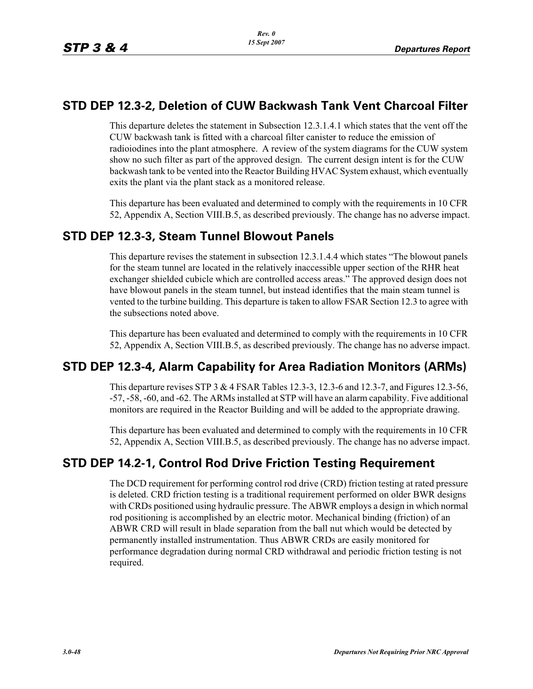#### **STD DEP 12.3-2, Deletion of CUW Backwash Tank Vent Charcoal Filter**

This departure deletes the statement in Subsection 12.3.1.4.1 which states that the vent off the CUW backwash tank is fitted with a charcoal filter canister to reduce the emission of radioiodines into the plant atmosphere. A review of the system diagrams for the CUW system show no such filter as part of the approved design. The current design intent is for the CUW backwash tank to be vented into the Reactor Building HVAC System exhaust, which eventually exits the plant via the plant stack as a monitored release.

This departure has been evaluated and determined to comply with the requirements in 10 CFR 52, Appendix A, Section VIII.B.5, as described previously. The change has no adverse impact.

#### **STD DEP 12.3-3, Steam Tunnel Blowout Panels**

This departure revises the statement in subsection 12.3.1.4.4 which states "The blowout panels for the steam tunnel are located in the relatively inaccessible upper section of the RHR heat exchanger shielded cubicle which are controlled access areas." The approved design does not have blowout panels in the steam tunnel, but instead identifies that the main steam tunnel is vented to the turbine building. This departure is taken to allow FSAR Section 12.3 to agree with the subsections noted above.

This departure has been evaluated and determined to comply with the requirements in 10 CFR 52, Appendix A, Section VIII.B.5, as described previously. The change has no adverse impact.

# **STD DEP 12.3-4, Alarm Capability for Area Radiation Monitors (ARMs)**

This departure revises STP 3 & 4 FSAR Tables 12.3-3, 12.3-6 and 12.3-7, and Figures 12.3-56, -57, -58, -60, and -62. The ARMs installed at STP will have an alarm capability. Five additional monitors are required in the Reactor Building and will be added to the appropriate drawing.

This departure has been evaluated and determined to comply with the requirements in 10 CFR 52, Appendix A, Section VIII.B.5, as described previously. The change has no adverse impact.

# **STD DEP 14.2-1, Control Rod Drive Friction Testing Requirement**

The DCD requirement for performing control rod drive (CRD) friction testing at rated pressure is deleted. CRD friction testing is a traditional requirement performed on older BWR designs with CRDs positioned using hydraulic pressure. The ABWR employs a design in which normal rod positioning is accomplished by an electric motor. Mechanical binding (friction) of an ABWR CRD will result in blade separation from the ball nut which would be detected by permanently installed instrumentation. Thus ABWR CRDs are easily monitored for performance degradation during normal CRD withdrawal and periodic friction testing is not required.